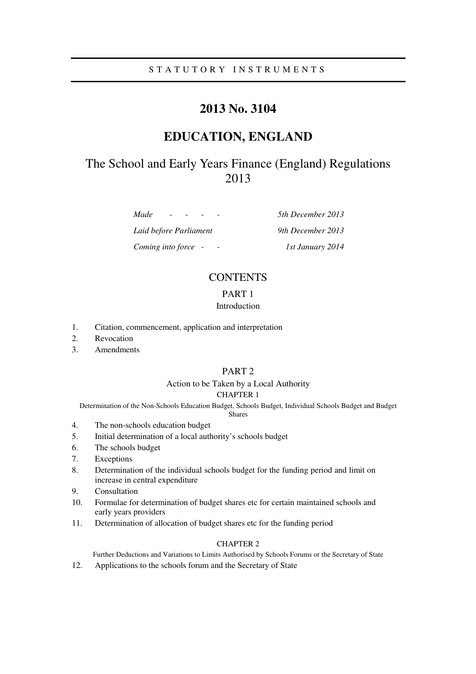## S T A T U T O R Y I N S T R U M E N T S

# **2013 No. 3104**

# **EDUCATION, ENGLAND**

# The School and Early Years Finance (England) Regulations 2013

*Made - - - - 5th December 2013* 

*Laid before Parliament 9th December 2013 Coming into force - - 1st January 2014* 

# **CONTENTS**

## PART 1

## Introduction

- 1. Citation, commencement, application and interpretation
- 2. Revocation
- 3. Amendments

## PART 2

### Action to be Taken by a Local Authority CHAPTER 1

Determination of the Non-Schools Education Budget, Schools Budget, Individual Schools Budget and Budget

## Shares

- 4. The non-schools education budget
- 5. Initial determination of a local authority's schools budget
- 6. The schools budget
- 7. Exceptions
- 8. Determination of the individual schools budget for the funding period and limit on increase in central expenditure
- 9. Consultation
- 10. Formulae for determination of budget shares etc for certain maintained schools and early years providers
- 11. Determination of allocation of budget shares etc for the funding period

## CHAPTER 2

Further Deductions and Variations to Limits Authorised by Schools Forums or the Secretary of State

12. Applications to the schools forum and the Secretary of State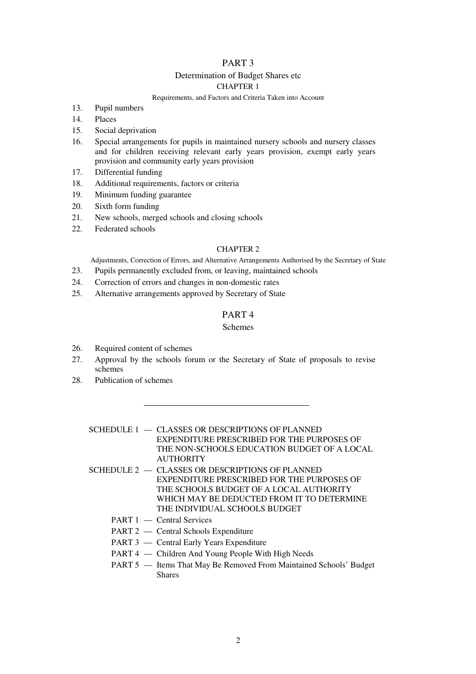## PART 3

## Determination of Budget Shares etc

## CHAPTER 1

#### Requirements, and Factors and Criteria Taken into Account

- 13. Pupil numbers
- 14. Places
- 15. Social deprivation
- 16. Special arrangements for pupils in maintained nursery schools and nursery classes and for children receiving relevant early years provision, exempt early years provision and community early years provision
- 17. Differential funding
- 18. Additional requirements, factors or criteria
- 19. Minimum funding guarantee
- 20. Sixth form funding
- 21. New schools, merged schools and closing schools
- 22. Federated schools

#### CHAPTER 2

Adjustments, Correction of Errors, and Alternative Arrangements Authorised by the Secretary of State

- 23. Pupils permanently excluded from, or leaving, maintained schools
- 24. Correction of errors and changes in non-domestic rates
- 25. Alternative arrangements approved by Secretary of State

## PART 4

#### Schemes

- 26. Required content of schemes
- 27. Approval by the schools forum or the Secretary of State of proposals to revise schemes
- 28. Publication of schemes
	- SCHEDULE 1 CLASSES OR DESCRIPTIONS OF PLANNED EXPENDITURE PRESCRIBED FOR THE PURPOSES OF THE NON-SCHOOLS EDUCATION BUDGET OF A LOCAL **AUTHORITY**
	- SCHEDULE  $2 C$ LASSES OR DESCRIPTIONS OF PLANNED EXPENDITURE PRESCRIBED FOR THE PURPOSES OF THE SCHOOLS BUDGET OF A LOCAL AUTHORITY WHICH MAY BE DEDUCTED FROM IT TO DETERMINE THE INDIVIDUAL SCHOOLS BUDGET
		- PART 1 Central Services
		- PART 2 Central Schools Expenditure
		- PART 3 Central Early Years Expenditure
		- PART 4 Children And Young People With High Needs
		- PART 5 Items That May Be Removed From Maintained Schools' Budget **Shares**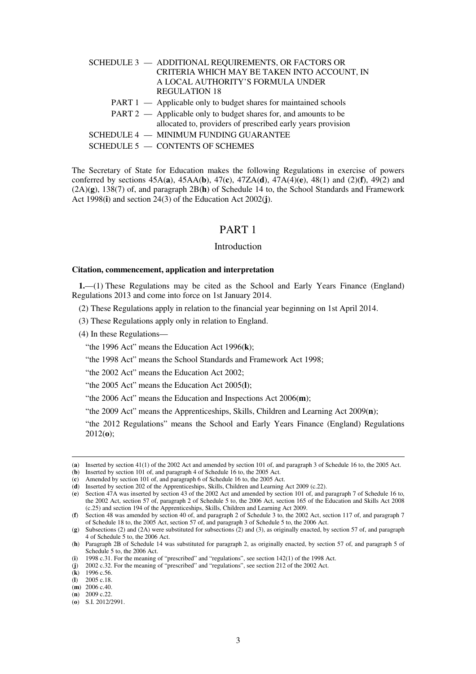| SCHEDULE 3 - ADDITIONAL REQUIREMENTS, OR FACTORS OR              |
|------------------------------------------------------------------|
| CRITERIA WHICH MAY BE TAKEN INTO ACCOUNT, IN                     |
| A LOCAL AUTHORITY'S FORMULA UNDER                                |
| <b>REGULATION 18</b>                                             |
| PART 1 — Applicable only to budget shares for maintained schools |
| PART 2 — Applicable only to budget shares for, and amounts to be |
| allocated to, providers of prescribed early years provision      |
| SCHEDULE 4 - MINIMUM FUNDING GUARANTEE                           |
| SCHEDULE 5 - CONTENTS OF SCHEMES                                 |

The Secretary of State for Education makes the following Regulations in exercise of powers conferred by sections 45A(**a**), 45AA(**b**), 47(**c**), 47ZA(**d**), 47A(4)(**e**), 48(1) and (2)(**f**), 49(2) and (2A)(**g**), 138(7) of, and paragraph 2B(**h**) of Schedule 14 to, the School Standards and Framework Act 1998(**i**) and section 24(3) of the Education Act 2002(**j**).

## PART 1

#### Introduction

#### **Citation, commencement, application and interpretation**

**1.**—(1) These Regulations may be cited as the School and Early Years Finance (England) Regulations 2013 and come into force on 1st January 2014.

(2) These Regulations apply in relation to the financial year beginning on 1st April 2014.

(3) These Regulations apply only in relation to England.

(4) In these Regulations—

"the 1996 Act" means the Education Act 1996(**k**);

"the 1998 Act" means the School Standards and Framework Act 1998;

"the 2002 Act" means the Education Act 2002;

"the 2005 Act" means the Education Act 2005(**l**);

"the 2006 Act" means the Education and Inspections Act 2006(**m**);

"the 2009 Act" means the Apprenticeships, Skills, Children and Learning Act 2009(**n**);

"the 2012 Regulations" means the School and Early Years Finance (England) Regulations 2012(**o**);

<sup>(</sup>**a**) Inserted by section 41(1) of the 2002 Act and amended by section 101 of, and paragraph 3 of Schedule 16 to, the 2005 Act.

<sup>(</sup>**b**) Inserted by section 101 of, and paragraph 4 of Schedule 16 to, the 2005 Act.

<sup>(</sup>**c**) Amended by section 101 of, and paragraph 6 of Schedule 16 to, the 2005 Act.

<sup>(</sup>**d**) Inserted by section 202 of the Apprenticeships, Skills, Children and Learning Act 2009 (c.22).

<sup>(</sup>**e**) Section 47A was inserted by section 43 of the 2002 Act and amended by section 101 of, and paragraph 7 of Schedule 16 to, the 2002 Act, section 57 of, paragraph 2 of Schedule 5 to, the 2006 Act, section 165 of the Education and Skills Act 2008 (c.25) and section 194 of the Apprenticeships, Skills, Children and Learning Act 2009.

<sup>(</sup>**f**) Section 48 was amended by section 40 of, and paragraph 2 of Schedule 3 to, the 2002 Act, section 117 of, and paragraph 7 of Schedule 18 to, the 2005 Act, section 57 of, and paragraph 3 of Schedule 5 to, the 2006 Act.

<sup>(</sup>**g**) Subsections (2) and (2A) were substituted for subsections (2) and (3), as originally enacted, by section 57 of, and paragraph 4 of Schedule 5 to, the 2006 Act.

<sup>(</sup>**h**) Paragraph 2B of Schedule 14 was substituted for paragraph 2, as originally enacted, by section 57 of, and paragraph 5 of Schedule 5 to, the 2006 Act.

<sup>(</sup>**i**) 1998 c.31. For the meaning of "prescribed" and "regulations", see section 142(1) of the 1998 Act.

<sup>(</sup>**j**) 2002 c.32. For the meaning of "prescribed" and "regulations", see section 212 of the 2002 Act.

<sup>(</sup>**k**) 1996 c.56.

<sup>(</sup>**l**) 2005 c.18. (**m**) 2006 c.40.

<sup>(</sup>**n**) 2009 c.22.

<sup>(</sup>**o**) S.I. 2012/2991.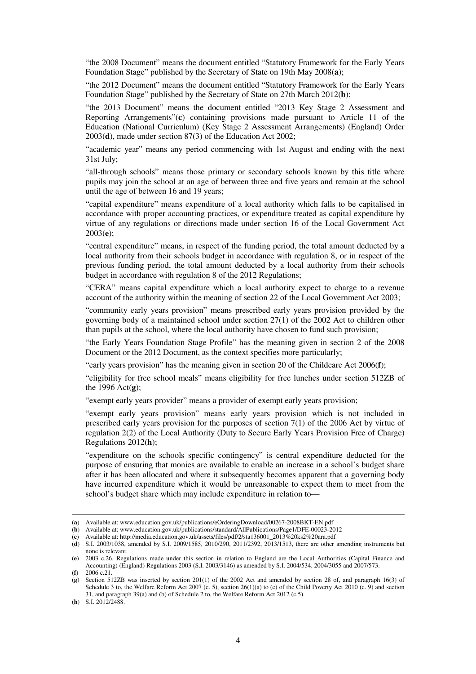"the 2008 Document" means the document entitled "Statutory Framework for the Early Years Foundation Stage" published by the Secretary of State on 19th May 2008(**a**);

"the 2012 Document" means the document entitled "Statutory Framework for the Early Years Foundation Stage" published by the Secretary of State on 27th March 2012(**b**);

"the 2013 Document" means the document entitled "2013 Key Stage 2 Assessment and Reporting Arrangements"(**c**) containing provisions made pursuant to Article 11 of the Education (National Curriculum) (Key Stage 2 Assessment Arrangements) (England) Order 2003(**d**), made under section 87(3) of the Education Act 2002;

"academic year" means any period commencing with 1st August and ending with the next 31st July;

"all-through schools" means those primary or secondary schools known by this title where pupils may join the school at an age of between three and five years and remain at the school until the age of between 16 and 19 years;

"capital expenditure" means expenditure of a local authority which falls to be capitalised in accordance with proper accounting practices, or expenditure treated as capital expenditure by virtue of any regulations or directions made under section 16 of the Local Government Act 2003(**e**);

"central expenditure" means, in respect of the funding period, the total amount deducted by a local authority from their schools budget in accordance with regulation 8, or in respect of the previous funding period, the total amount deducted by a local authority from their schools budget in accordance with regulation 8 of the 2012 Regulations;

"CERA" means capital expenditure which a local authority expect to charge to a revenue account of the authority within the meaning of section 22 of the Local Government Act 2003;

"community early years provision" means prescribed early years provision provided by the governing body of a maintained school under section 27(1) of the 2002 Act to children other than pupils at the school, where the local authority have chosen to fund such provision;

"the Early Years Foundation Stage Profile" has the meaning given in section 2 of the 2008 Document or the 2012 Document, as the context specifies more particularly;

"early years provision" has the meaning given in section 20 of the Childcare Act 2006(**f**);

"eligibility for free school meals" means eligibility for free lunches under section 512ZB of the 1996 Act(**g**);

"exempt early years provider" means a provider of exempt early years provision;

"exempt early years provision" means early years provision which is not included in prescribed early years provision for the purposes of section 7(1) of the 2006 Act by virtue of regulation 2(2) of the Local Authority (Duty to Secure Early Years Provision Free of Charge) Regulations 2012(**h**);

"expenditure on the schools specific contingency" is central expenditure deducted for the purpose of ensuring that monies are available to enable an increase in a school's budget share after it has been allocated and where it subsequently becomes apparent that a governing body have incurred expenditure which it would be unreasonable to expect them to meet from the school's budget share which may include expenditure in relation to—

(**h**) S.I. 2012/2488.

<sup>(</sup>**a**) Available at: www.education.gov.uk/publications/eOrderingDownload/00267-2008BKT-EN.pdf

<sup>(</sup>**b**) Available at: www.education.gov.uk/publications/standard/AllPublications/Page1/DFE-00023-2012

<sup>(</sup>**c**) Available at: http://media.education.gov.uk/assets/files/pdf/2/sta136001\_2013%20ks2%20ara.pdf

<sup>(</sup>**d**) S.I. 2003/1038, amended by S.I. 2009/1585, 2010/290, 2011/2392, 2013/1513, there are other amending instruments but none is relevant.

<sup>(</sup>**e**) 2003 c.26. Regulations made under this section in relation to England are the Local Authorities (Capital Finance and Accounting) (England) Regulations 2003 (S.I. 2003/3146) as amended by S.I. 2004/534, 2004/3055 and 2007/573. (**f**) 2006 c.21.

<sup>(</sup>**g**) Section 512ZB was inserted by section 201(1) of the 2002 Act and amended by section 28 of, and paragraph 16(3) of Schedule 3 to, the Welfare Reform Act 2007 (c. 5), section 26(1)(a) to (e) of the Child Poverty Act 2010 (c. 9) and section 31, and paragraph 39(a) and (b) of Schedule 2 to, the Welfare Reform Act 2012 (c.5).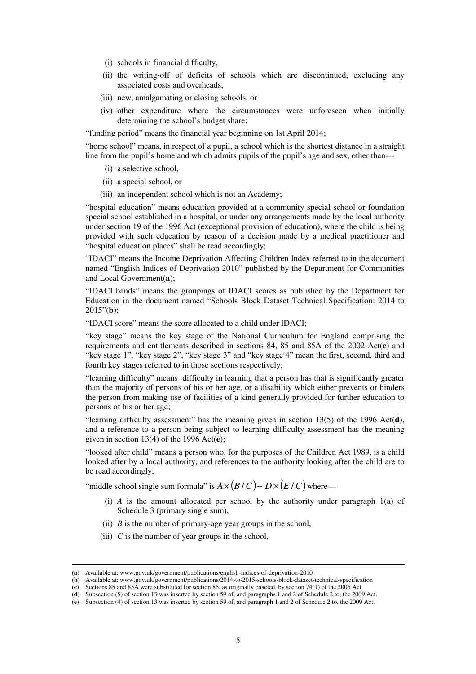- (i) schools in financial difficulty,
- (ii) the writing-off of deficits of schools which are discontinued, excluding any associated costs and overheads,
- (iii) new, amalgamating or closing schools, or
- (iv) other expenditure where the circumstances were unforeseen when initially determining the school's budget share;

"funding period" means the financial year beginning on 1st April 2014;

"home school" means, in respect of a pupil, a school which is the shortest distance in a straight line from the pupil's home and which admits pupils of the pupil's age and sex, other than—

- (i) a selective school,
- (ii) a special school, or
- (iii) an independent school which is not an Academy;

"hospital education" means education provided at a community special school or foundation special school established in a hospital, or under any arrangements made by the local authority under section 19 of the 1996 Act (exceptional provision of education), where the child is being provided with such education by reason of a decision made by a medical practitioner and "hospital education places" shall be read accordingly;

"IDACI" means the Income Deprivation Affecting Children Index referred to in the document named "English Indices of Deprivation 2010" published by the Department for Communities and Local Government(**a**);

"IDACI bands" means the groupings of IDACI scores as published by the Department for Education in the document named "Schools Block Dataset Technical Specification: 2014 to 2015"(**b**);

"IDACI score" means the score allocated to a child under IDACI;

"key stage" means the key stage of the National Curriculum for England comprising the requirements and entitlements described in sections 84, 85 and 85A of the 2002 Act(**c**) and "key stage 1", "key stage 2", "key stage 3" and "key stage 4" mean the first, second, third and fourth key stages referred to in those sections respectively;

"learning difficulty" means difficulty in learning that a person has that is significantly greater than the majority of persons of his or her age, or a disability which either prevents or hinders the person from making use of facilities of a kind generally provided for further education to persons of his or her age;

"learning difficulty assessment" has the meaning given in section 13(5) of the 1996 Act(**d**), and a reference to a person being subject to learning difficulty assessment has the meaning given in section 13(4) of the 1996 Act(**e**);

"looked after child" means a person who, for the purposes of the Children Act 1989, is a child looked after by a local authority, and references to the authority looking after the child are to be read accordingly;

"middle school single sum formula" is  $A \times (B/C) + D \times (E/C)$  where—

- (i)  $\overline{A}$  is the amount allocated per school by the authority under paragraph  $1(a)$  of Schedule 3 (primary single sum),
- (ii) *B* is the number of primary-age year groups in the school,
- (iii)  $C$  is the number of year groups in the school,

<sup>(</sup>**a**) Available at: www.gov.uk/government/publications/english-indices-of-deprivation-2010

<sup>(</sup>**b**) Available at: www.gov.uk/government/publications/2014-to-2015-schools-block-dataset-technical-specification

<sup>(</sup>**c**) Sections 85 and 85A were substituted for section 85, as originally enacted, by section 74(1) of the 2006 Act.

<sup>(</sup>**d**) Subsection (5) of section 13 was inserted by section 59 of, and paragraphs 1 and 2 of Schedule 2 to, the 2009 Act.

<sup>(</sup>**e**) Subsection (4) of section 13 was inserted by section 59 of, and paragraph 1 and 2 of Schedule 2 to, the 2009 Act.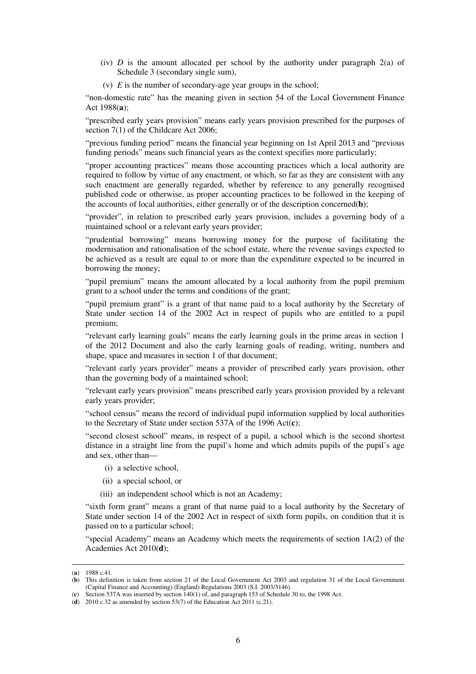- (iv) *D* is the amount allocated per school by the authority under paragraph  $2(a)$  of Schedule 3 (secondary single sum),
- (v) *E* is the number of secondary-age year groups in the school;

"non-domestic rate" has the meaning given in section 54 of the Local Government Finance Act 1988(**a**);

"prescribed early years provision" means early years provision prescribed for the purposes of section 7(1) of the Childcare Act 2006:

"previous funding period" means the financial year beginning on 1st April 2013 and "previous funding periods" means such financial years as the context specifies more particularly;

"proper accounting practices" means those accounting practices which a local authority are required to follow by virtue of any enactment, or which, so far as they are consistent with any such enactment are generally regarded, whether by reference to any generally recognised published code or otherwise, as proper accounting practices to be followed in the keeping of the accounts of local authorities, either generally or of the description concerned(**b**);

"provider", in relation to prescribed early years provision, includes a governing body of a maintained school or a relevant early years provider;

"prudential borrowing" means borrowing money for the purpose of facilitating the modernisation and rationalisation of the school estate, where the revenue savings expected to be achieved as a result are equal to or more than the expenditure expected to be incurred in borrowing the money;

"pupil premium" means the amount allocated by a local authority from the pupil premium grant to a school under the terms and conditions of the grant;

"pupil premium grant" is a grant of that name paid to a local authority by the Secretary of State under section 14 of the 2002 Act in respect of pupils who are entitled to a pupil premium;

"relevant early learning goals" means the early learning goals in the prime areas in section 1 of the 2012 Document and also the early learning goals of reading, writing, numbers and shape, space and measures in section 1 of that document;

"relevant early years provider" means a provider of prescribed early years provision, other than the governing body of a maintained school;

"relevant early years provision" means prescribed early years provision provided by a relevant early years provider;

"school census" means the record of individual pupil information supplied by local authorities to the Secretary of State under section 537A of the 1996 Act(**c**);

"second closest school" means, in respect of a pupil, a school which is the second shortest distance in a straight line from the pupil's home and which admits pupils of the pupil's age and sex, other than—

- (i) a selective school,
- (ii) a special school, or
- (iii) an independent school which is not an Academy;

"sixth form grant" means a grant of that name paid to a local authority by the Secretary of State under section 14 of the 2002 Act in respect of sixth form pupils, on condition that it is passed on to a particular school;

"special Academy" means an Academy which meets the requirements of section 1A(2) of the Academies Act 2010(**d**);

<sup>(</sup>**a**) 1988 c.41.

<sup>(</sup>**b**) This definition is taken from section 21 of the Local Government Act 2003 and regulation 31 of the Local Government (Capital Finance and Accounting) (England) Regulations 2003 (S.I. 2003/3146).

<sup>(</sup>**c**) Section 537A was inserted by section 140(1) of, and paragraph 153 of Schedule 30 to, the 1998 Act.

<sup>(</sup>**d**) 2010 c.32 as amended by section 53(7) of the Education Act 2011 (c.21).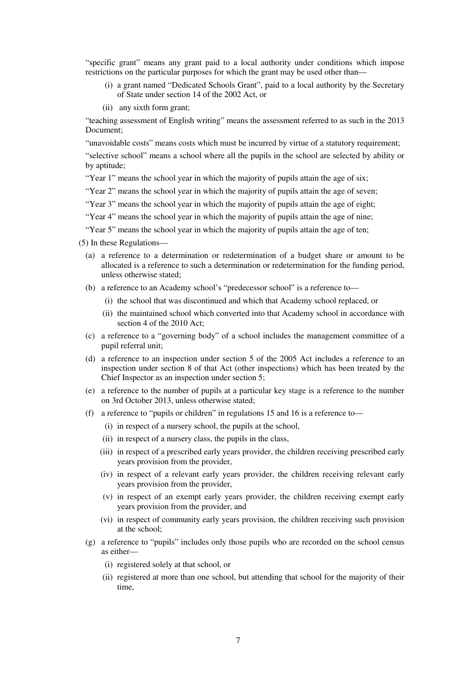"specific grant" means any grant paid to a local authority under conditions which impose restrictions on the particular purposes for which the grant may be used other than—

- (i) a grant named "Dedicated Schools Grant", paid to a local authority by the Secretary of State under section 14 of the 2002 Act, or
- (ii) any sixth form grant;

"teaching assessment of English writing" means the assessment referred to as such in the 2013 Document;

"unavoidable costs" means costs which must be incurred by virtue of a statutory requirement;

"selective school" means a school where all the pupils in the school are selected by ability or by aptitude;

"Year 1" means the school year in which the majority of pupils attain the age of six;

"Year 2" means the school year in which the majority of pupils attain the age of seven;

"Year 3" means the school year in which the majority of pupils attain the age of eight;

"Year 4" means the school year in which the majority of pupils attain the age of nine;

"Year 5" means the school year in which the majority of pupils attain the age of ten;

(5) In these Regulations—

- (a) a reference to a determination or redetermination of a budget share or amount to be allocated is a reference to such a determination or redetermination for the funding period, unless otherwise stated;
- (b) a reference to an Academy school's "predecessor school" is a reference to—
	- (i) the school that was discontinued and which that Academy school replaced, or
	- (ii) the maintained school which converted into that Academy school in accordance with section 4 of the 2010 Act;
- (c) a reference to a "governing body" of a school includes the management committee of a pupil referral unit;
- (d) a reference to an inspection under section 5 of the 2005 Act includes a reference to an inspection under section 8 of that Act (other inspections) which has been treated by the Chief Inspector as an inspection under section 5;
- (e) a reference to the number of pupils at a particular key stage is a reference to the number on 3rd October 2013, unless otherwise stated;
- (f) a reference to "pupils or children" in regulations 15 and 16 is a reference to—
	- (i) in respect of a nursery school, the pupils at the school,
	- (ii) in respect of a nursery class, the pupils in the class,
	- (iii) in respect of a prescribed early years provider, the children receiving prescribed early years provision from the provider,
	- (iv) in respect of a relevant early years provider, the children receiving relevant early years provision from the provider,
	- (v) in respect of an exempt early years provider, the children receiving exempt early years provision from the provider, and
	- (vi) in respect of community early years provision, the children receiving such provision at the school;
- (g) a reference to "pupils" includes only those pupils who are recorded on the school census as either—
	- (i) registered solely at that school, or
	- (ii) registered at more than one school, but attending that school for the majority of their time,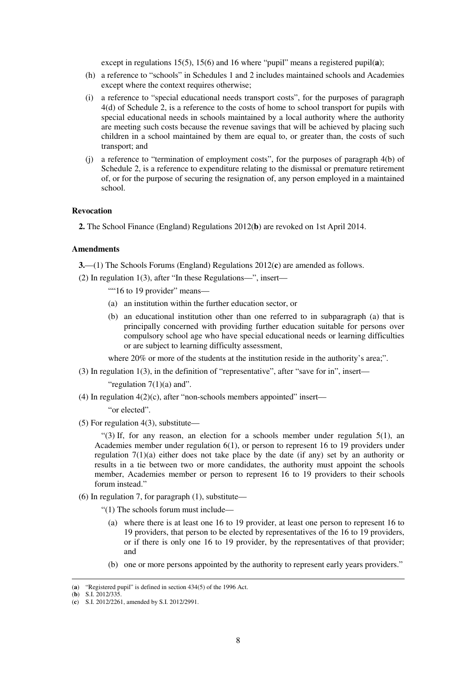except in regulations 15(5), 15(6) and 16 where "pupil" means a registered pupil(**a**);

- (h) a reference to "schools" in Schedules 1 and 2 includes maintained schools and Academies except where the context requires otherwise:
- (i) a reference to "special educational needs transport costs", for the purposes of paragraph 4(d) of Schedule 2, is a reference to the costs of home to school transport for pupils with special educational needs in schools maintained by a local authority where the authority are meeting such costs because the revenue savings that will be achieved by placing such children in a school maintained by them are equal to, or greater than, the costs of such transport; and
- (j) a reference to "termination of employment costs", for the purposes of paragraph 4(b) of Schedule 2, is a reference to expenditure relating to the dismissal or premature retirement of, or for the purpose of securing the resignation of, any person employed in a maintained school.

#### **Revocation**

**2.** The School Finance (England) Regulations 2012(**b**) are revoked on 1st April 2014.

#### **Amendments**

**3.**—(1) The Schools Forums (England) Regulations 2012(**c**) are amended as follows.

- (2) In regulation 1(3), after "In these Regulations—", insert—
	- ""16 to 19 provider" means-
	- (a) an institution within the further education sector, or
	- (b) an educational institution other than one referred to in subparagraph (a) that is principally concerned with providing further education suitable for persons over compulsory school age who have special educational needs or learning difficulties or are subject to learning difficulty assessment,

where 20% or more of the students at the institution reside in the authority's area;".

(3) In regulation 1(3), in the definition of "representative", after "save for in", insert—

"regulation  $7(1)(a)$  and".

(4) In regulation  $4(2)(c)$ , after "non-schools members appointed" insert—

"or elected".

(5) For regulation 4(3), substitute—

"(3) If, for any reason, an election for a schools member under regulation  $5(1)$ , an Academies member under regulation 6(1), or person to represent 16 to 19 providers under regulation 7(1)(a) either does not take place by the date (if any) set by an authority or results in a tie between two or more candidates, the authority must appoint the schools member, Academies member or person to represent 16 to 19 providers to their schools forum instead."

(6) In regulation 7, for paragraph  $(1)$ , substitute—

"(1) The schools forum must include—

- (a) where there is at least one 16 to 19 provider, at least one person to represent 16 to 19 providers, that person to be elected by representatives of the 16 to 19 providers, or if there is only one 16 to 19 provider, by the representatives of that provider; and
- (b) one or more persons appointed by the authority to represent early years providers."

<sup>(</sup>**a**) "Registered pupil" is defined in section 434(5) of the 1996 Act.

<sup>(</sup>**b**) S.I. 2012/335.

<sup>(</sup>**c**) S.I. 2012/2261, amended by S.I. 2012/2991.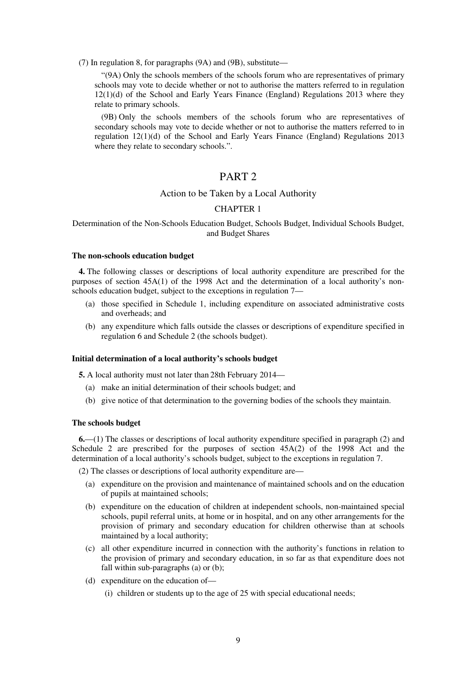(7) In regulation 8, for paragraphs (9A) and (9B), substitute—

"(9A) Only the schools members of the schools forum who are representatives of primary schools may vote to decide whether or not to authorise the matters referred to in regulation 12(1)(d) of the School and Early Years Finance (England) Regulations 2013 where they relate to primary schools.

(9B) Only the schools members of the schools forum who are representatives of secondary schools may vote to decide whether or not to authorise the matters referred to in regulation 12(1)(d) of the School and Early Years Finance (England) Regulations 2013 where they relate to secondary schools.".

# PART 2

### Action to be Taken by a Local Authority

#### CHAPTER 1

## Determination of the Non-Schools Education Budget, Schools Budget, Individual Schools Budget, and Budget Shares

#### **The non-schools education budget**

**4.** The following classes or descriptions of local authority expenditure are prescribed for the purposes of section 45A(1) of the 1998 Act and the determination of a local authority's nonschools education budget, subject to the exceptions in regulation 7—

- (a) those specified in Schedule 1, including expenditure on associated administrative costs and overheads; and
- (b) any expenditure which falls outside the classes or descriptions of expenditure specified in regulation 6 and Schedule 2 (the schools budget).

#### **Initial determination of a local authority's schools budget**

**5.** A local authority must not later than 28th February 2014—

- (a) make an initial determination of their schools budget; and
- (b) give notice of that determination to the governing bodies of the schools they maintain.

#### **The schools budget**

**6.**—(1) The classes or descriptions of local authority expenditure specified in paragraph (2) and Schedule 2 are prescribed for the purposes of section 45A(2) of the 1998 Act and the determination of a local authority's schools budget, subject to the exceptions in regulation 7.

(2) The classes or descriptions of local authority expenditure are—

- (a) expenditure on the provision and maintenance of maintained schools and on the education of pupils at maintained schools;
- (b) expenditure on the education of children at independent schools, non-maintained special schools, pupil referral units, at home or in hospital, and on any other arrangements for the provision of primary and secondary education for children otherwise than at schools maintained by a local authority;
- (c) all other expenditure incurred in connection with the authority's functions in relation to the provision of primary and secondary education, in so far as that expenditure does not fall within sub-paragraphs (a) or (b);
- (d) expenditure on the education of—
	- (i) children or students up to the age of 25 with special educational needs;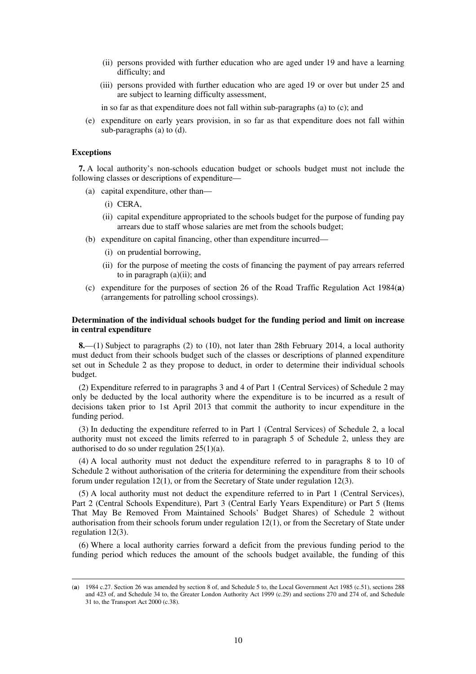- (ii) persons provided with further education who are aged under 19 and have a learning difficulty; and
- (iii) persons provided with further education who are aged 19 or over but under 25 and are subject to learning difficulty assessment,

in so far as that expenditure does not fall within sub-paragraphs (a) to (c); and

(e) expenditure on early years provision, in so far as that expenditure does not fall within sub-paragraphs (a) to (d).

#### **Exceptions**

<u>.</u>

**7.** A local authority's non-schools education budget or schools budget must not include the following classes or descriptions of expenditure—

- (a) capital expenditure, other than—
	- (i) CERA,
	- (ii) capital expenditure appropriated to the schools budget for the purpose of funding pay arrears due to staff whose salaries are met from the schools budget;
- (b) expenditure on capital financing, other than expenditure incurred—
	- (i) on prudential borrowing,
	- (ii) for the purpose of meeting the costs of financing the payment of pay arrears referred to in paragraph  $(a)(ii)$ ; and
- (c) expenditure for the purposes of section 26 of the Road Traffic Regulation Act 1984(**a**) (arrangements for patrolling school crossings).

### **Determination of the individual schools budget for the funding period and limit on increase in central expenditure**

**8.**—(1) Subject to paragraphs (2) to (10), not later than 28th February 2014, a local authority must deduct from their schools budget such of the classes or descriptions of planned expenditure set out in Schedule 2 as they propose to deduct, in order to determine their individual schools budget.

(2) Expenditure referred to in paragraphs 3 and 4 of Part 1 (Central Services) of Schedule 2 may only be deducted by the local authority where the expenditure is to be incurred as a result of decisions taken prior to 1st April 2013 that commit the authority to incur expenditure in the funding period.

(3) In deducting the expenditure referred to in Part 1 (Central Services) of Schedule 2, a local authority must not exceed the limits referred to in paragraph 5 of Schedule 2, unless they are authorised to do so under regulation 25(1)(a).

(4) A local authority must not deduct the expenditure referred to in paragraphs 8 to 10 of Schedule 2 without authorisation of the criteria for determining the expenditure from their schools forum under regulation 12(1), or from the Secretary of State under regulation 12(3).

(5) A local authority must not deduct the expenditure referred to in Part 1 (Central Services), Part 2 (Central Schools Expenditure), Part 3 (Central Early Years Expenditure) or Part 5 (Items That May Be Removed From Maintained Schools' Budget Shares) of Schedule 2 without authorisation from their schools forum under regulation 12(1), or from the Secretary of State under regulation 12(3).

(6) Where a local authority carries forward a deficit from the previous funding period to the funding period which reduces the amount of the schools budget available, the funding of this

<sup>(</sup>**a**) 1984 c.27. Section 26 was amended by section 8 of, and Schedule 5 to, the Local Government Act 1985 (c.51), sections 288 and 423 of, and Schedule 34 to, the Greater London Authority Act 1999 (c.29) and sections 270 and 274 of, and Schedule 31 to, the Transport Act 2000 (c.38).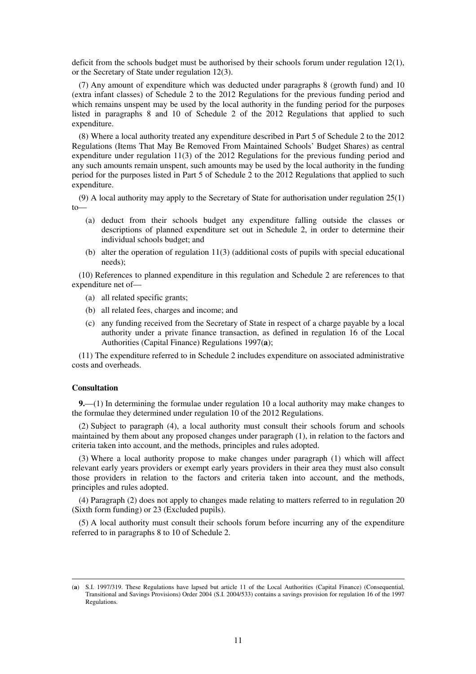deficit from the schools budget must be authorised by their schools forum under regulation 12(1), or the Secretary of State under regulation 12(3).

(7) Any amount of expenditure which was deducted under paragraphs 8 (growth fund) and 10 (extra infant classes) of Schedule 2 to the 2012 Regulations for the previous funding period and which remains unspent may be used by the local authority in the funding period for the purposes listed in paragraphs 8 and 10 of Schedule 2 of the 2012 Regulations that applied to such expenditure.

(8) Where a local authority treated any expenditure described in Part 5 of Schedule 2 to the 2012 Regulations (Items That May Be Removed From Maintained Schools' Budget Shares) as central expenditure under regulation 11(3) of the 2012 Regulations for the previous funding period and any such amounts remain unspent, such amounts may be used by the local authority in the funding period for the purposes listed in Part 5 of Schedule 2 to the 2012 Regulations that applied to such expenditure.

(9) A local authority may apply to the Secretary of State for authorisation under regulation 25(1)  $to$ 

- (a) deduct from their schools budget any expenditure falling outside the classes or descriptions of planned expenditure set out in Schedule 2, in order to determine their individual schools budget; and
- (b) alter the operation of regulation 11(3) (additional costs of pupils with special educational needs);

(10) References to planned expenditure in this regulation and Schedule 2 are references to that expenditure net of—

- (a) all related specific grants;
- (b) all related fees, charges and income; and
- (c) any funding received from the Secretary of State in respect of a charge payable by a local authority under a private finance transaction, as defined in regulation 16 of the Local Authorities (Capital Finance) Regulations 1997(**a**);

(11) The expenditure referred to in Schedule 2 includes expenditure on associated administrative costs and overheads.

#### **Consultation**

<u>.</u>

**9.**—(1) In determining the formulae under regulation 10 a local authority may make changes to the formulae they determined under regulation 10 of the 2012 Regulations.

(2) Subject to paragraph (4), a local authority must consult their schools forum and schools maintained by them about any proposed changes under paragraph (1), in relation to the factors and criteria taken into account, and the methods, principles and rules adopted.

(3) Where a local authority propose to make changes under paragraph (1) which will affect relevant early years providers or exempt early years providers in their area they must also consult those providers in relation to the factors and criteria taken into account, and the methods, principles and rules adopted.

(4) Paragraph (2) does not apply to changes made relating to matters referred to in regulation 20 (Sixth form funding) or 23 (Excluded pupils).

(5) A local authority must consult their schools forum before incurring any of the expenditure referred to in paragraphs 8 to 10 of Schedule 2.

<sup>(</sup>**a**) S.I. 1997/319. These Regulations have lapsed but article 11 of the Local Authorities (Capital Finance) (Consequential, Transitional and Savings Provisions) Order 2004 (S.I. 2004/533) contains a savings provision for regulation 16 of the 1997 Regulations.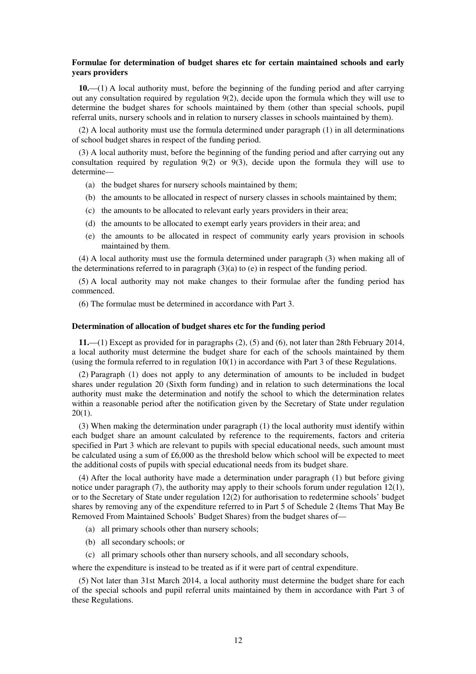#### **Formulae for determination of budget shares etc for certain maintained schools and early years providers**

**10.**—(1) A local authority must, before the beginning of the funding period and after carrying out any consultation required by regulation 9(2), decide upon the formula which they will use to determine the budget shares for schools maintained by them (other than special schools, pupil referral units, nursery schools and in relation to nursery classes in schools maintained by them).

(2) A local authority must use the formula determined under paragraph (1) in all determinations of school budget shares in respect of the funding period.

(3) A local authority must, before the beginning of the funding period and after carrying out any consultation required by regulation 9(2) or 9(3), decide upon the formula they will use to determine—

- (a) the budget shares for nursery schools maintained by them;
- (b) the amounts to be allocated in respect of nursery classes in schools maintained by them;
- (c) the amounts to be allocated to relevant early years providers in their area;
- (d) the amounts to be allocated to exempt early years providers in their area; and
- (e) the amounts to be allocated in respect of community early years provision in schools maintained by them.

(4) A local authority must use the formula determined under paragraph (3) when making all of the determinations referred to in paragraph (3)(a) to (e) in respect of the funding period.

(5) A local authority may not make changes to their formulae after the funding period has commenced.

(6) The formulae must be determined in accordance with Part 3.

#### **Determination of allocation of budget shares etc for the funding period**

**11.**—(1) Except as provided for in paragraphs (2), (5) and (6), not later than 28th February 2014, a local authority must determine the budget share for each of the schools maintained by them (using the formula referred to in regulation  $10(1)$  in accordance with Part 3 of these Regulations.

(2) Paragraph (1) does not apply to any determination of amounts to be included in budget shares under regulation 20 (Sixth form funding) and in relation to such determinations the local authority must make the determination and notify the school to which the determination relates within a reasonable period after the notification given by the Secretary of State under regulation 20(1).

(3) When making the determination under paragraph (1) the local authority must identify within each budget share an amount calculated by reference to the requirements, factors and criteria specified in Part 3 which are relevant to pupils with special educational needs, such amount must be calculated using a sum of £6,000 as the threshold below which school will be expected to meet the additional costs of pupils with special educational needs from its budget share.

(4) After the local authority have made a determination under paragraph (1) but before giving notice under paragraph (7), the authority may apply to their schools forum under regulation 12(1), or to the Secretary of State under regulation 12(2) for authorisation to redetermine schools' budget shares by removing any of the expenditure referred to in Part 5 of Schedule 2 (Items That May Be Removed From Maintained Schools' Budget Shares) from the budget shares of—

- (a) all primary schools other than nursery schools;
- (b) all secondary schools; or
- (c) all primary schools other than nursery schools, and all secondary schools,

where the expenditure is instead to be treated as if it were part of central expenditure.

(5) Not later than 31st March 2014, a local authority must determine the budget share for each of the special schools and pupil referral units maintained by them in accordance with Part 3 of these Regulations.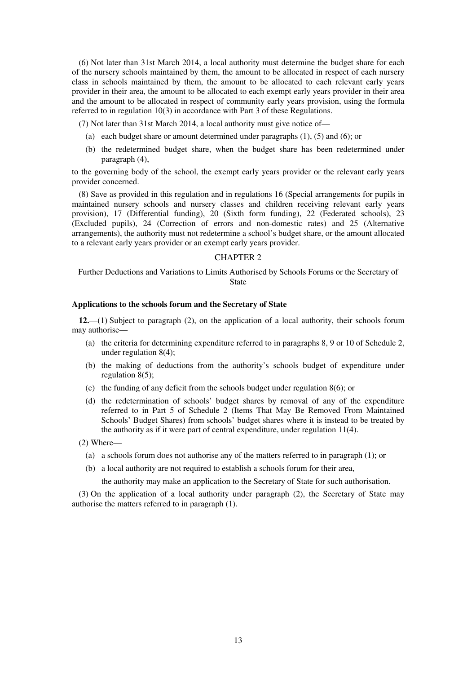(6) Not later than 31st March 2014, a local authority must determine the budget share for each of the nursery schools maintained by them, the amount to be allocated in respect of each nursery class in schools maintained by them, the amount to be allocated to each relevant early years provider in their area, the amount to be allocated to each exempt early years provider in their area and the amount to be allocated in respect of community early years provision, using the formula referred to in regulation 10(3) in accordance with Part 3 of these Regulations.

(7) Not later than 31st March 2014, a local authority must give notice of—

- (a) each budget share or amount determined under paragraphs (1), (5) and (6); or
- (b) the redetermined budget share, when the budget share has been redetermined under paragraph (4),

to the governing body of the school, the exempt early years provider or the relevant early years provider concerned.

(8) Save as provided in this regulation and in regulations 16 (Special arrangements for pupils in maintained nursery schools and nursery classes and children receiving relevant early years provision), 17 (Differential funding), 20 (Sixth form funding), 22 (Federated schools), 23 (Excluded pupils), 24 (Correction of errors and non-domestic rates) and 25 (Alternative arrangements), the authority must not redetermine a school's budget share, or the amount allocated to a relevant early years provider or an exempt early years provider.

### CHAPTER 2

Further Deductions and Variations to Limits Authorised by Schools Forums or the Secretary of State

#### **Applications to the schools forum and the Secretary of State**

**12.**—(1) Subject to paragraph (2), on the application of a local authority, their schools forum may authorise—

- (a) the criteria for determining expenditure referred to in paragraphs 8, 9 or 10 of Schedule 2, under regulation 8(4);
- (b) the making of deductions from the authority's schools budget of expenditure under regulation  $8(5)$ ;
- (c) the funding of any deficit from the schools budget under regulation 8(6); or
- (d) the redetermination of schools' budget shares by removal of any of the expenditure referred to in Part 5 of Schedule 2 (Items That May Be Removed From Maintained Schools' Budget Shares) from schools' budget shares where it is instead to be treated by the authority as if it were part of central expenditure, under regulation 11(4).
- (2) Where—
	- (a) a schools forum does not authorise any of the matters referred to in paragraph (1); or
	- (b) a local authority are not required to establish a schools forum for their area,

the authority may make an application to the Secretary of State for such authorisation.

(3) On the application of a local authority under paragraph (2), the Secretary of State may authorise the matters referred to in paragraph (1).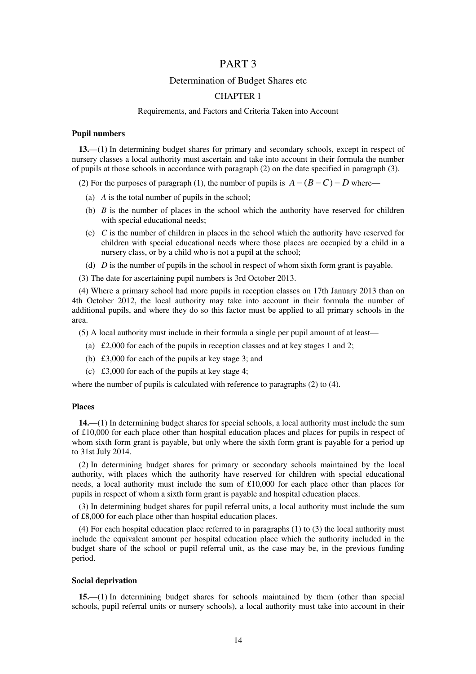## PART 3

## Determination of Budget Shares etc

#### CHAPTER 1

#### Requirements, and Factors and Criteria Taken into Account

#### **Pupil numbers**

**13.**—(1) In determining budget shares for primary and secondary schools, except in respect of nursery classes a local authority must ascertain and take into account in their formula the number of pupils at those schools in accordance with paragraph (2) on the date specified in paragraph (3).

(2) For the purposes of paragraph (1), the number of pupils is  $A - (B - C) - D$  where—

- (a) *A* is the total number of pupils in the school;
- (b) *B* is the number of places in the school which the authority have reserved for children with special educational needs;
- (c) *C* is the number of children in places in the school which the authority have reserved for children with special educational needs where those places are occupied by a child in a nursery class, or by a child who is not a pupil at the school;
- (d) *D* is the number of pupils in the school in respect of whom sixth form grant is payable.
- (3) The date for ascertaining pupil numbers is 3rd October 2013.

(4) Where a primary school had more pupils in reception classes on 17th January 2013 than on 4th October 2012, the local authority may take into account in their formula the number of additional pupils, and where they do so this factor must be applied to all primary schools in the area.

(5) A local authority must include in their formula a single per pupil amount of at least—

- (a) £2,000 for each of the pupils in reception classes and at key stages 1 and 2;
- (b) £3,000 for each of the pupils at key stage 3; and
- (c) £3,000 for each of the pupils at key stage 4;

where the number of pupils is calculated with reference to paragraphs (2) to (4).

### **Places**

**14.**—(1) In determining budget shares for special schools, a local authority must include the sum of £10,000 for each place other than hospital education places and places for pupils in respect of whom sixth form grant is payable, but only where the sixth form grant is payable for a period up to 31st July 2014.

(2) In determining budget shares for primary or secondary schools maintained by the local authority, with places which the authority have reserved for children with special educational needs, a local authority must include the sum of £10,000 for each place other than places for pupils in respect of whom a sixth form grant is payable and hospital education places.

(3) In determining budget shares for pupil referral units, a local authority must include the sum of £8,000 for each place other than hospital education places.

(4) For each hospital education place referred to in paragraphs (1) to (3) the local authority must include the equivalent amount per hospital education place which the authority included in the budget share of the school or pupil referral unit, as the case may be, in the previous funding period.

#### **Social deprivation**

**15.**—(1) In determining budget shares for schools maintained by them (other than special schools, pupil referral units or nursery schools), a local authority must take into account in their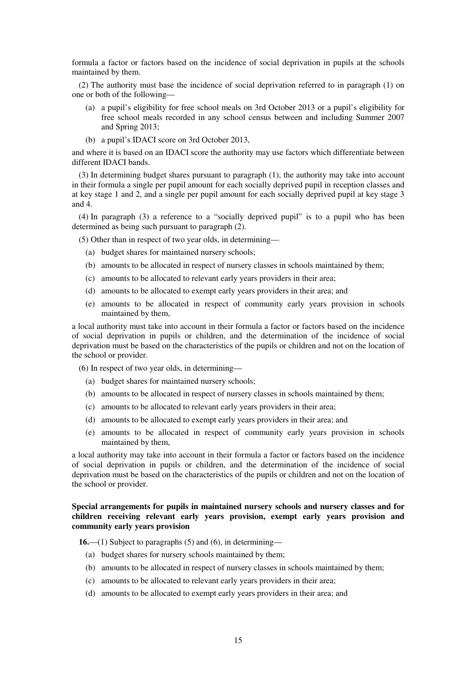formula a factor or factors based on the incidence of social deprivation in pupils at the schools maintained by them.

(2) The authority must base the incidence of social deprivation referred to in paragraph (1) on one or both of the following—

- (a) a pupil's eligibility for free school meals on 3rd October 2013 or a pupil's eligibility for free school meals recorded in any school census between and including Summer 2007 and Spring 2013;
- (b) a pupil's IDACI score on 3rd October 2013,

and where it is based on an IDACI score the authority may use factors which differentiate between different IDACI bands.

(3) In determining budget shares pursuant to paragraph (1), the authority may take into account in their formula a single per pupil amount for each socially deprived pupil in reception classes and at key stage 1 and 2, and a single per pupil amount for each socially deprived pupil at key stage 3 and 4.

(4) In paragraph (3) a reference to a "socially deprived pupil" is to a pupil who has been determined as being such pursuant to paragraph (2).

(5) Other than in respect of two year olds, in determining—

- (a) budget shares for maintained nursery schools;
- (b) amounts to be allocated in respect of nursery classes in schools maintained by them;
- (c) amounts to be allocated to relevant early years providers in their area;
- (d) amounts to be allocated to exempt early years providers in their area; and
- (e) amounts to be allocated in respect of community early years provision in schools maintained by them,

a local authority must take into account in their formula a factor or factors based on the incidence of social deprivation in pupils or children, and the determination of the incidence of social deprivation must be based on the characteristics of the pupils or children and not on the location of the school or provider.

(6) In respect of two year olds, in determining—

- (a) budget shares for maintained nursery schools;
- (b) amounts to be allocated in respect of nursery classes in schools maintained by them;
- (c) amounts to be allocated to relevant early years providers in their area;
- (d) amounts to be allocated to exempt early years providers in their area; and
- (e) amounts to be allocated in respect of community early years provision in schools maintained by them,

a local authority may take into account in their formula a factor or factors based on the incidence of social deprivation in pupils or children, and the determination of the incidence of social deprivation must be based on the characteristics of the pupils or children and not on the location of the school or provider.

### **Special arrangements for pupils in maintained nursery schools and nursery classes and for children receiving relevant early years provision, exempt early years provision and community early years provision**

**16.**—(1) Subject to paragraphs (5) and (6), in determining—

- (a) budget shares for nursery schools maintained by them;
- (b) amounts to be allocated in respect of nursery classes in schools maintained by them;
- (c) amounts to be allocated to relevant early years providers in their area;
- (d) amounts to be allocated to exempt early years providers in their area; and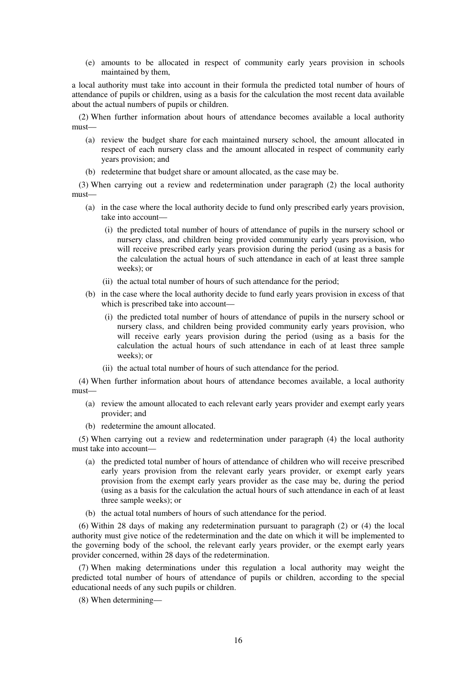(e) amounts to be allocated in respect of community early years provision in schools maintained by them,

a local authority must take into account in their formula the predicted total number of hours of attendance of pupils or children, using as a basis for the calculation the most recent data available about the actual numbers of pupils or children.

(2) When further information about hours of attendance becomes available a local authority must—

- (a) review the budget share for each maintained nursery school, the amount allocated in respect of each nursery class and the amount allocated in respect of community early years provision; and
- (b) redetermine that budget share or amount allocated, as the case may be.

(3) When carrying out a review and redetermination under paragraph (2) the local authority must—

- (a) in the case where the local authority decide to fund only prescribed early years provision, take into account—
	- (i) the predicted total number of hours of attendance of pupils in the nursery school or nursery class, and children being provided community early years provision, who will receive prescribed early years provision during the period (using as a basis for the calculation the actual hours of such attendance in each of at least three sample weeks); or
	- (ii) the actual total number of hours of such attendance for the period;
- (b) in the case where the local authority decide to fund early years provision in excess of that which is prescribed take into account—
	- (i) the predicted total number of hours of attendance of pupils in the nursery school or nursery class, and children being provided community early years provision, who will receive early years provision during the period (using as a basis for the calculation the actual hours of such attendance in each of at least three sample weeks); or
	- (ii) the actual total number of hours of such attendance for the period.

(4) When further information about hours of attendance becomes available, a local authority must—

- (a) review the amount allocated to each relevant early years provider and exempt early years provider; and
- (b) redetermine the amount allocated.

(5) When carrying out a review and redetermination under paragraph (4) the local authority must take into account—

- (a) the predicted total number of hours of attendance of children who will receive prescribed early years provision from the relevant early years provider, or exempt early years provision from the exempt early years provider as the case may be, during the period (using as a basis for the calculation the actual hours of such attendance in each of at least three sample weeks); or
- (b) the actual total numbers of hours of such attendance for the period.

(6) Within 28 days of making any redetermination pursuant to paragraph (2) or (4) the local authority must give notice of the redetermination and the date on which it will be implemented to the governing body of the school, the relevant early years provider, or the exempt early years provider concerned, within 28 days of the redetermination.

(7) When making determinations under this regulation a local authority may weight the predicted total number of hours of attendance of pupils or children, according to the special educational needs of any such pupils or children.

(8) When determining—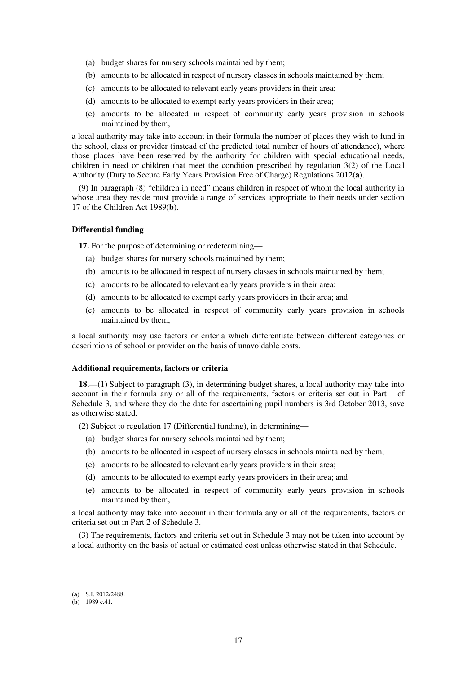- (a) budget shares for nursery schools maintained by them;
- (b) amounts to be allocated in respect of nursery classes in schools maintained by them;
- (c) amounts to be allocated to relevant early years providers in their area;
- (d) amounts to be allocated to exempt early years providers in their area;
- (e) amounts to be allocated in respect of community early years provision in schools maintained by them,

a local authority may take into account in their formula the number of places they wish to fund in the school, class or provider (instead of the predicted total number of hours of attendance), where those places have been reserved by the authority for children with special educational needs, children in need or children that meet the condition prescribed by regulation 3(2) of the Local Authority (Duty to Secure Early Years Provision Free of Charge) Regulations 2012(**a**).

(9) In paragraph (8) "children in need" means children in respect of whom the local authority in whose area they reside must provide a range of services appropriate to their needs under section 17 of the Children Act 1989(**b**).

#### **Differential funding**

**17.** For the purpose of determining or redetermining—

- (a) budget shares for nursery schools maintained by them;
- (b) amounts to be allocated in respect of nursery classes in schools maintained by them;
- (c) amounts to be allocated to relevant early years providers in their area;
- (d) amounts to be allocated to exempt early years providers in their area; and
- (e) amounts to be allocated in respect of community early years provision in schools maintained by them,

a local authority may use factors or criteria which differentiate between different categories or descriptions of school or provider on the basis of unavoidable costs.

#### **Additional requirements, factors or criteria**

**18.**—(1) Subject to paragraph (3), in determining budget shares, a local authority may take into account in their formula any or all of the requirements, factors or criteria set out in Part 1 of Schedule 3, and where they do the date for ascertaining pupil numbers is 3rd October 2013, save as otherwise stated.

(2) Subject to regulation 17 (Differential funding), in determining—

- (a) budget shares for nursery schools maintained by them;
- (b) amounts to be allocated in respect of nursery classes in schools maintained by them;
- (c) amounts to be allocated to relevant early years providers in their area;
- (d) amounts to be allocated to exempt early years providers in their area; and
- (e) amounts to be allocated in respect of community early years provision in schools maintained by them,

a local authority may take into account in their formula any or all of the requirements, factors or criteria set out in Part 2 of Schedule 3.

(3) The requirements, factors and criteria set out in Schedule 3 may not be taken into account by a local authority on the basis of actual or estimated cost unless otherwise stated in that Schedule.

<sup>(</sup>**a**) S.I. 2012/2488.

<sup>(</sup>**b**) 1989 c.41.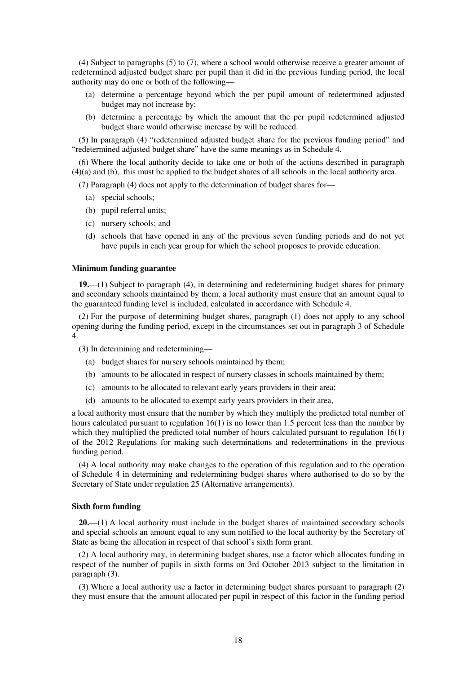(4) Subject to paragraphs (5) to (7), where a school would otherwise receive a greater amount of redetermined adjusted budget share per pupil than it did in the previous funding period, the local authority may do one or both of the following—

- (a) determine a percentage beyond which the per pupil amount of redetermined adjusted budget may not increase by;
- (b) determine a percentage by which the amount that the per pupil redetermined adjusted budget share would otherwise increase by will be reduced.

(5) In paragraph (4) "redetermined adjusted budget share for the previous funding period" and "redetermined adjusted budget share" have the same meanings as in Schedule 4.

(6) Where the local authority decide to take one or both of the actions described in paragraph (4)(a) and (b), this must be applied to the budget shares of all schools in the local authority area.

(7) Paragraph (4) does not apply to the determination of budget shares for—

- (a) special schools;
- (b) pupil referral units;
- (c) nursery schools; and
- (d) schools that have opened in any of the previous seven funding periods and do not yet have pupils in each year group for which the school proposes to provide education.

#### **Minimum funding guarantee**

**19.**—(1) Subject to paragraph (4), in determining and redetermining budget shares for primary and secondary schools maintained by them, a local authority must ensure that an amount equal to the guaranteed funding level is included, calculated in accordance with Schedule 4.

(2) For the purpose of determining budget shares, paragraph (1) does not apply to any school opening during the funding period, except in the circumstances set out in paragraph 3 of Schedule 4.

(3) In determining and redetermining—

- (a) budget shares for nursery schools maintained by them;
- (b) amounts to be allocated in respect of nursery classes in schools maintained by them;
- (c) amounts to be allocated to relevant early years providers in their area;
- (d) amounts to be allocated to exempt early years providers in their area,

a local authority must ensure that the number by which they multiply the predicted total number of hours calculated pursuant to regulation 16(1) is no lower than 1.5 percent less than the number by which they multiplied the predicted total number of hours calculated pursuant to regulation  $16(1)$ of the 2012 Regulations for making such determinations and redeterminations in the previous funding period.

(4) A local authority may make changes to the operation of this regulation and to the operation of Schedule 4 in determining and redetermining budget shares where authorised to do so by the Secretary of State under regulation 25 (Alternative arrangements).

#### **Sixth form funding**

**20.**—(1) A local authority must include in the budget shares of maintained secondary schools and special schools an amount equal to any sum notified to the local authority by the Secretary of State as being the allocation in respect of that school's sixth form grant.

(2) A local authority may, in determining budget shares, use a factor which allocates funding in respect of the number of pupils in sixth forms on 3rd October 2013 subject to the limitation in paragraph (3).

(3) Where a local authority use a factor in determining budget shares pursuant to paragraph (2) they must ensure that the amount allocated per pupil in respect of this factor in the funding period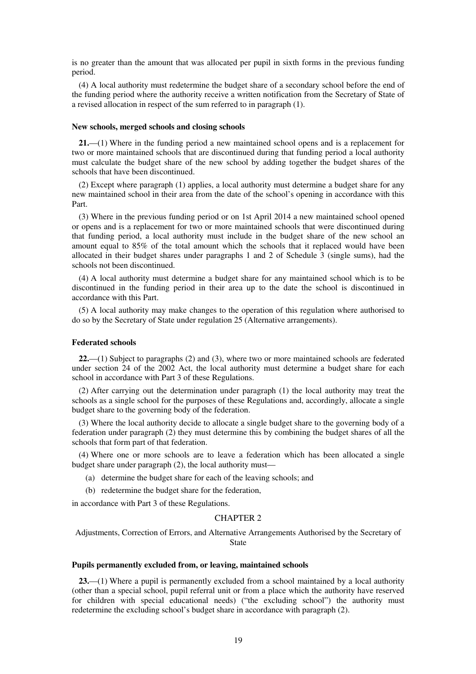is no greater than the amount that was allocated per pupil in sixth forms in the previous funding period.

(4) A local authority must redetermine the budget share of a secondary school before the end of the funding period where the authority receive a written notification from the Secretary of State of a revised allocation in respect of the sum referred to in paragraph (1).

#### **New schools, merged schools and closing schools**

**21.**—(1) Where in the funding period a new maintained school opens and is a replacement for two or more maintained schools that are discontinued during that funding period a local authority must calculate the budget share of the new school by adding together the budget shares of the schools that have been discontinued.

(2) Except where paragraph (1) applies, a local authority must determine a budget share for any new maintained school in their area from the date of the school's opening in accordance with this Part.

(3) Where in the previous funding period or on 1st April 2014 a new maintained school opened or opens and is a replacement for two or more maintained schools that were discontinued during that funding period, a local authority must include in the budget share of the new school an amount equal to 85% of the total amount which the schools that it replaced would have been allocated in their budget shares under paragraphs 1 and 2 of Schedule 3 (single sums), had the schools not been discontinued.

(4) A local authority must determine a budget share for any maintained school which is to be discontinued in the funding period in their area up to the date the school is discontinued in accordance with this Part.

(5) A local authority may make changes to the operation of this regulation where authorised to do so by the Secretary of State under regulation 25 (Alternative arrangements).

#### **Federated schools**

**22.**—(1) Subject to paragraphs (2) and (3), where two or more maintained schools are federated under section 24 of the 2002 Act, the local authority must determine a budget share for each school in accordance with Part 3 of these Regulations.

(2) After carrying out the determination under paragraph (1) the local authority may treat the schools as a single school for the purposes of these Regulations and, accordingly, allocate a single budget share to the governing body of the federation.

(3) Where the local authority decide to allocate a single budget share to the governing body of a federation under paragraph (2) they must determine this by combining the budget shares of all the schools that form part of that federation.

(4) Where one or more schools are to leave a federation which has been allocated a single budget share under paragraph (2), the local authority must—

- (a) determine the budget share for each of the leaving schools; and
- (b) redetermine the budget share for the federation,

in accordance with Part 3 of these Regulations.

#### CHAPTER 2

Adjustments, Correction of Errors, and Alternative Arrangements Authorised by the Secretary of State

#### **Pupils permanently excluded from, or leaving, maintained schools**

**23.**—(1) Where a pupil is permanently excluded from a school maintained by a local authority (other than a special school, pupil referral unit or from a place which the authority have reserved for children with special educational needs) ("the excluding school") the authority must redetermine the excluding school's budget share in accordance with paragraph (2).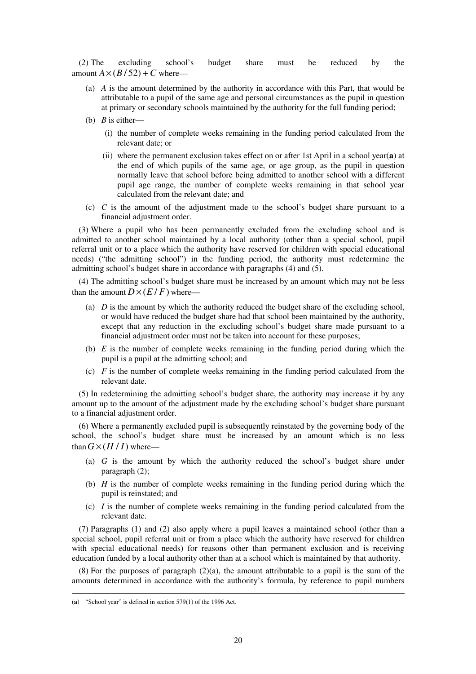(2) The excluding school's budget share must be reduced by the amount  $A \times (B/52) + C$  where—

- (a) *A* is the amount determined by the authority in accordance with this Part, that would be attributable to a pupil of the same age and personal circumstances as the pupil in question at primary or secondary schools maintained by the authority for the full funding period;
- (b) *B* is either—
	- (i) the number of complete weeks remaining in the funding period calculated from the relevant date; or
	- (ii) where the permanent exclusion takes effect on or after 1st April in a school year(**a**) at the end of which pupils of the same age, or age group, as the pupil in question normally leave that school before being admitted to another school with a different pupil age range, the number of complete weeks remaining in that school year calculated from the relevant date; and
- (c) *C* is the amount of the adjustment made to the school's budget share pursuant to a financial adjustment order.

(3) Where a pupil who has been permanently excluded from the excluding school and is admitted to another school maintained by a local authority (other than a special school, pupil referral unit or to a place which the authority have reserved for children with special educational needs) ("the admitting school") in the funding period, the authority must redetermine the admitting school's budget share in accordance with paragraphs (4) and (5).

(4) The admitting school's budget share must be increased by an amount which may not be less than the amount  $D \times (E/F)$  where—

- (a) *D* is the amount by which the authority reduced the budget share of the excluding school, or would have reduced the budget share had that school been maintained by the authority, except that any reduction in the excluding school's budget share made pursuant to a financial adjustment order must not be taken into account for these purposes;
- (b) *E* is the number of complete weeks remaining in the funding period during which the pupil is a pupil at the admitting school; and
- (c) *F* is the number of complete weeks remaining in the funding period calculated from the relevant date.

(5) In redetermining the admitting school's budget share, the authority may increase it by any amount up to the amount of the adjustment made by the excluding school's budget share pursuant to a financial adjustment order.

(6) Where a permanently excluded pupil is subsequently reinstated by the governing body of the school, the school's budget share must be increased by an amount which is no less than  $G \times (H/I)$  where—

- (a) *G* is the amount by which the authority reduced the school's budget share under paragraph (2);
- (b) *H* is the number of complete weeks remaining in the funding period during which the pupil is reinstated; and
- (c)  $I$  is the number of complete weeks remaining in the funding period calculated from the relevant date.

(7) Paragraphs (1) and (2) also apply where a pupil leaves a maintained school (other than a special school, pupil referral unit or from a place which the authority have reserved for children with special educational needs) for reasons other than permanent exclusion and is receiving education funded by a local authority other than at a school which is maintained by that authority.

(8) For the purposes of paragraph (2)(a), the amount attributable to a pupil is the sum of the amounts determined in accordance with the authority's formula, by reference to pupil numbers

<sup>(</sup>**a**) "School year" is defined in section 579(1) of the 1996 Act.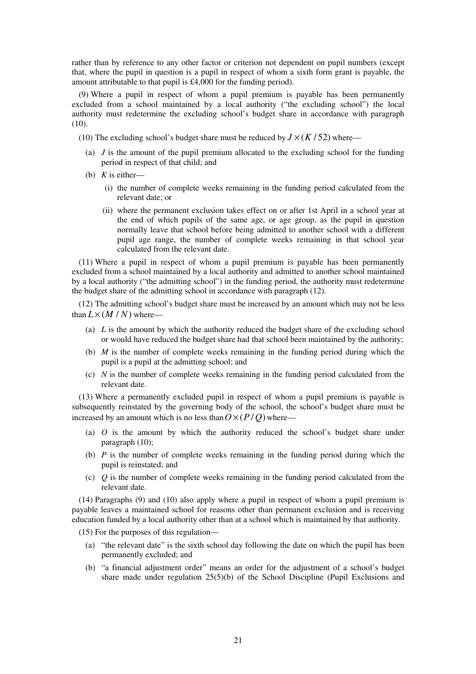rather than by reference to any other factor or criterion not dependent on pupil numbers (except that, where the pupil in question is a pupil in respect of whom a sixth form grant is payable, the amount attributable to that pupil is £4,000 for the funding period).

(9) Where a pupil in respect of whom a pupil premium is payable has been permanently excluded from a school maintained by a local authority ("the excluding school") the local authority must redetermine the excluding school's budget share in accordance with paragraph (10).

- (10) The excluding school's budget share must be reduced by  $J \times (K/52)$  where—
	- (a) *J* is the amount of the pupil premium allocated to the excluding school for the funding period in respect of that child; and
	- (b) *K* is either—
		- (i) the number of complete weeks remaining in the funding period calculated from the relevant date; or
		- (ii) where the permanent exclusion takes effect on or after 1st April in a school year at the end of which pupils of the same age, or age group, as the pupil in question normally leave that school before being admitted to another school with a different pupil age range, the number of complete weeks remaining in that school year calculated from the relevant date.

(11) Where a pupil in respect of whom a pupil premium is payable has been permanently excluded from a school maintained by a local authority and admitted to another school maintained by a local authority ("the admitting school") in the funding period, the authority must redetermine the budget share of the admitting school in accordance with paragraph (12).

(12) The admitting school's budget share must be increased by an amount which may not be less than  $L \times (M/N)$  where—

- (a) *L* is the amount by which the authority reduced the budget share of the excluding school or would have reduced the budget share had that school been maintained by the authority;
- (b) *M* is the number of complete weeks remaining in the funding period during which the pupil is a pupil at the admitting school; and
- (c) *N* is the number of complete weeks remaining in the funding period calculated from the relevant date.

(13) Where a permanently excluded pupil in respect of whom a pupil premium is payable is subsequently reinstated by the governing body of the school, the school's budget share must be increased by an amount which is no less than  $O \times (P/O)$  where—

- (a) *O* is the amount by which the authority reduced the school's budget share under paragraph (10);
- (b) *P* is the number of complete weeks remaining in the funding period during which the pupil is reinstated; and
- (c) *Q* is the number of complete weeks remaining in the funding period calculated from the relevant date.

(14) Paragraphs (9) and (10) also apply where a pupil in respect of whom a pupil premium is payable leaves a maintained school for reasons other than permanent exclusion and is receiving education funded by a local authority other than at a school which is maintained by that authority.

(15) For the purposes of this regulation—

- (a) "the relevant date" is the sixth school day following the date on which the pupil has been permanently excluded; and
- (b) "a financial adjustment order" means an order for the adjustment of a school's budget share made under regulation  $25(5)(b)$  of the School Discipline (Pupil Exclusions and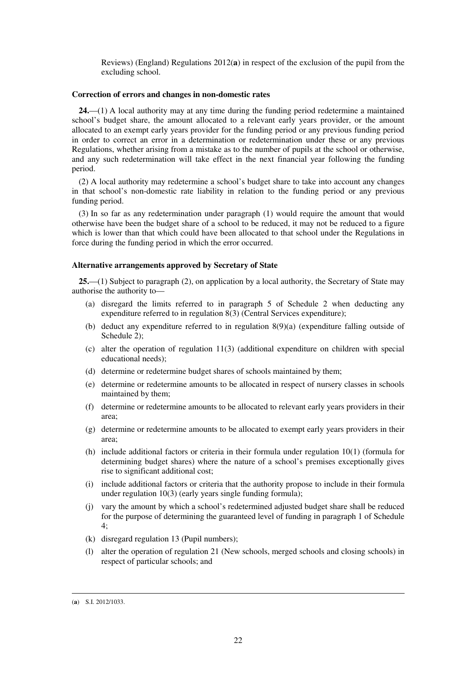Reviews) (England) Regulations 2012(**a**) in respect of the exclusion of the pupil from the excluding school.

#### **Correction of errors and changes in non-domestic rates**

**24.**—(1) A local authority may at any time during the funding period redetermine a maintained school's budget share, the amount allocated to a relevant early years provider, or the amount allocated to an exempt early years provider for the funding period or any previous funding period in order to correct an error in a determination or redetermination under these or any previous Regulations, whether arising from a mistake as to the number of pupils at the school or otherwise, and any such redetermination will take effect in the next financial year following the funding period.

(2) A local authority may redetermine a school's budget share to take into account any changes in that school's non-domestic rate liability in relation to the funding period or any previous funding period.

(3) In so far as any redetermination under paragraph (1) would require the amount that would otherwise have been the budget share of a school to be reduced, it may not be reduced to a figure which is lower than that which could have been allocated to that school under the Regulations in force during the funding period in which the error occurred.

#### **Alternative arrangements approved by Secretary of State**

**25.**—(1) Subject to paragraph (2), on application by a local authority, the Secretary of State may authorise the authority to—

- (a) disregard the limits referred to in paragraph 5 of Schedule 2 when deducting any expenditure referred to in regulation 8(3) (Central Services expenditure);
- (b) deduct any expenditure referred to in regulation 8(9)(a) (expenditure falling outside of Schedule 2):
- (c) alter the operation of regulation 11(3) (additional expenditure on children with special educational needs);
- (d) determine or redetermine budget shares of schools maintained by them;
- (e) determine or redetermine amounts to be allocated in respect of nursery classes in schools maintained by them;
- (f) determine or redetermine amounts to be allocated to relevant early years providers in their area;
- (g) determine or redetermine amounts to be allocated to exempt early years providers in their area;
- (h) include additional factors or criteria in their formula under regulation 10(1) (formula for determining budget shares) where the nature of a school's premises exceptionally gives rise to significant additional cost;
- (i) include additional factors or criteria that the authority propose to include in their formula under regulation 10(3) (early years single funding formula);
- (j) vary the amount by which a school's redetermined adjusted budget share shall be reduced for the purpose of determining the guaranteed level of funding in paragraph 1 of Schedule 4;
- (k) disregard regulation 13 (Pupil numbers);
- (l) alter the operation of regulation 21 (New schools, merged schools and closing schools) in respect of particular schools; and

<sup>&</sup>lt;u>.</u> (**a**) S.I. 2012/1033.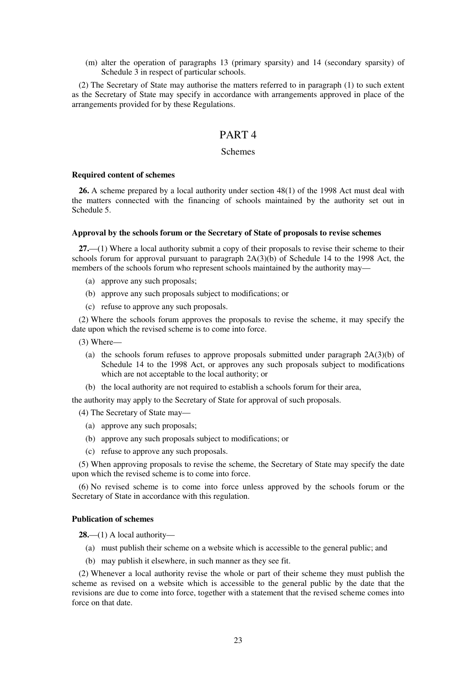(m) alter the operation of paragraphs 13 (primary sparsity) and 14 (secondary sparsity) of Schedule 3 in respect of particular schools.

(2) The Secretary of State may authorise the matters referred to in paragraph (1) to such extent as the Secretary of State may specify in accordance with arrangements approved in place of the arrangements provided for by these Regulations.

## PART 4

## Schemes

#### **Required content of schemes**

**26.** A scheme prepared by a local authority under section 48(1) of the 1998 Act must deal with the matters connected with the financing of schools maintained by the authority set out in Schedule 5.

#### **Approval by the schools forum or the Secretary of State of proposals to revise schemes**

**27.**—(1) Where a local authority submit a copy of their proposals to revise their scheme to their schools forum for approval pursuant to paragraph  $2A(3)(b)$  of Schedule 14 to the 1998 Act, the members of the schools forum who represent schools maintained by the authority may—

- (a) approve any such proposals;
- (b) approve any such proposals subject to modifications; or
- (c) refuse to approve any such proposals.

(2) Where the schools forum approves the proposals to revise the scheme, it may specify the date upon which the revised scheme is to come into force.

(3) Where—

- (a) the schools forum refuses to approve proposals submitted under paragraph  $2A(3)(b)$  of Schedule 14 to the 1998 Act, or approves any such proposals subject to modifications which are not acceptable to the local authority; or
- (b) the local authority are not required to establish a schools forum for their area,

the authority may apply to the Secretary of State for approval of such proposals.

(4) The Secretary of State may—

- (a) approve any such proposals;
- (b) approve any such proposals subject to modifications; or
- (c) refuse to approve any such proposals.

(5) When approving proposals to revise the scheme, the Secretary of State may specify the date upon which the revised scheme is to come into force.

(6) No revised scheme is to come into force unless approved by the schools forum or the Secretary of State in accordance with this regulation.

#### **Publication of schemes**

**28.**—(1) A local authority—

- (a) must publish their scheme on a website which is accessible to the general public; and
- (b) may publish it elsewhere, in such manner as they see fit.

(2) Whenever a local authority revise the whole or part of their scheme they must publish the scheme as revised on a website which is accessible to the general public by the date that the revisions are due to come into force, together with a statement that the revised scheme comes into force on that date.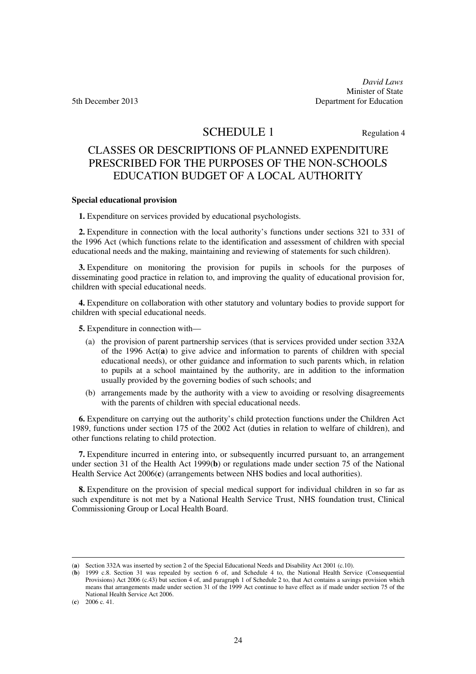*David Laws*  Minister of State 5th December 2013 Department for Education

# SCHEDULE 1 Regulation 4

# CLASSES OR DESCRIPTIONS OF PLANNED EXPENDITURE PRESCRIBED FOR THE PURPOSES OF THE NON-SCHOOLS EDUCATION BUDGET OF A LOCAL AUTHORITY

#### **Special educational provision**

**1.** Expenditure on services provided by educational psychologists.

**2.** Expenditure in connection with the local authority's functions under sections 321 to 331 of the 1996 Act (which functions relate to the identification and assessment of children with special educational needs and the making, maintaining and reviewing of statements for such children).

**3.** Expenditure on monitoring the provision for pupils in schools for the purposes of disseminating good practice in relation to, and improving the quality of educational provision for, children with special educational needs.

**4.** Expenditure on collaboration with other statutory and voluntary bodies to provide support for children with special educational needs.

**5.** Expenditure in connection with—

- (a) the provision of parent partnership services (that is services provided under section 332A of the 1996 Act(**a**) to give advice and information to parents of children with special educational needs), or other guidance and information to such parents which, in relation to pupils at a school maintained by the authority, are in addition to the information usually provided by the governing bodies of such schools; and
- (b) arrangements made by the authority with a view to avoiding or resolving disagreements with the parents of children with special educational needs.

**6.** Expenditure on carrying out the authority's child protection functions under the Children Act 1989, functions under section 175 of the 2002 Act (duties in relation to welfare of children), and other functions relating to child protection.

**7.** Expenditure incurred in entering into, or subsequently incurred pursuant to, an arrangement under section 31 of the Health Act 1999(**b**) or regulations made under section 75 of the National Health Service Act 2006(**c**) (arrangements between NHS bodies and local authorities).

**8.** Expenditure on the provision of special medical support for individual children in so far as such expenditure is not met by a National Health Service Trust, NHS foundation trust, Clinical Commissioning Group or Local Health Board.

<sup>(</sup>**a**) Section 332A was inserted by section 2 of the Special Educational Needs and Disability Act 2001 (c.10).

<sup>(</sup>**b**) 1999 c.8. Section 31 was repealed by section 6 of, and Schedule 4 to, the National Health Service (Consequential Provisions) Act 2006 (c.43) but section 4 of, and paragraph 1 of Schedule 2 to, that Act contains a savings provision which means that arrangements made under section 31 of the 1999 Act continue to have effect as if made under section 75 of the National Health Service Act 2006.

<sup>(</sup>**c**) 2006 c. 41.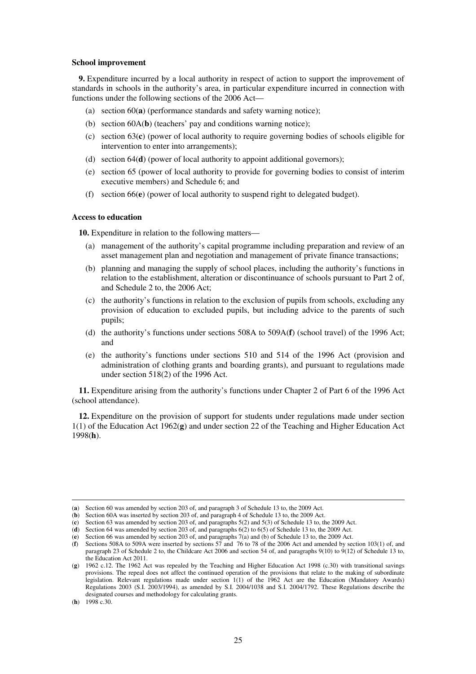#### **School improvement**

**9.** Expenditure incurred by a local authority in respect of action to support the improvement of standards in schools in the authority's area, in particular expenditure incurred in connection with functions under the following sections of the 2006 Act—

- (a) section 60(**a**) (performance standards and safety warning notice);
- (b) section 60A(**b**) (teachers' pay and conditions warning notice);
- (c) section 63(**c**) (power of local authority to require governing bodies of schools eligible for intervention to enter into arrangements);
- (d) section 64(**d**) (power of local authority to appoint additional governors);
- (e) section 65 (power of local authority to provide for governing bodies to consist of interim executive members) and Schedule 6; and
- (f) section 66(**e**) (power of local authority to suspend right to delegated budget).

#### **Access to education**

**10.** Expenditure in relation to the following matters—

- (a) management of the authority's capital programme including preparation and review of an asset management plan and negotiation and management of private finance transactions;
- (b) planning and managing the supply of school places, including the authority's functions in relation to the establishment, alteration or discontinuance of schools pursuant to Part 2 of, and Schedule 2 to, the 2006 Act;
- (c) the authority's functions in relation to the exclusion of pupils from schools, excluding any provision of education to excluded pupils, but including advice to the parents of such pupils;
- (d) the authority's functions under sections 508A to 509A(**f**) (school travel) of the 1996 Act; and
- (e) the authority's functions under sections 510 and 514 of the 1996 Act (provision and administration of clothing grants and boarding grants), and pursuant to regulations made under section 518(2) of the 1996 Act.

**11.** Expenditure arising from the authority's functions under Chapter 2 of Part 6 of the 1996 Act (school attendance).

**12.** Expenditure on the provision of support for students under regulations made under section 1(1) of the Education Act 1962(**g**) and under section 22 of the Teaching and Higher Education Act 1998(**h**).

<sup>(</sup>**a**) Section 60 was amended by section 203 of, and paragraph 3 of Schedule 13 to, the 2009 Act.

<sup>(</sup>**b**) Section 60A was inserted by section 203 of, and paragraph 4 of Schedule 13 to, the 2009 Act.

<sup>(</sup>**c**) Section 63 was amended by section 203 of, and paragraphs 5(2) and 5(3) of Schedule 13 to, the 2009 Act.

<sup>(</sup>**d**) Section 64 was amended by section 203 of, and paragraphs 6(2) to 6(5) of Schedule 13 to, the 2009 Act.

<sup>(</sup>**e**) Section 66 was amended by section 203 of, and paragraphs 7(a) and (b) of Schedule 13 to, the 2009 Act.

<sup>(</sup>**f**) Sections 508A to 509A were inserted by sections 57 and 76 to 78 of the 2006 Act and amended by section 103(1) of, and paragraph 23 of Schedule 2 to, the Childcare Act 2006 and section 54 of, and paragraphs 9(10) to 9(12) of Schedule 13 to, the Education Act 2011.

<sup>(</sup>**g**) 1962 c.12. The 1962 Act was repealed by the Teaching and Higher Education Act 1998 (c.30) with transitional savings provisions. The repeal does not affect the continued operation of the provisions that relate to the making of subordinate legislation. Relevant regulations made under section 1(1) of the 1962 Act are the Education (Mandatory Awards) Regulations 2003 (S.I. 2003/1994), as amended by S.I. 2004/1038 and S.I. 2004/1792. These Regulations describe the designated courses and methodology for calculating grants.

<sup>(</sup>**h**) 1998 c.30.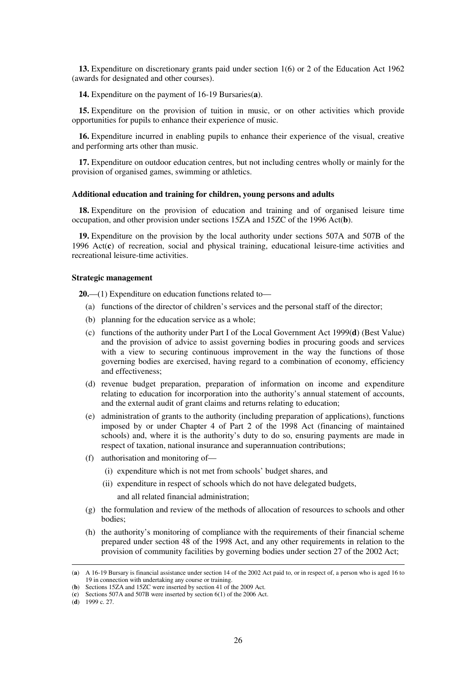**13.** Expenditure on discretionary grants paid under section 1(6) or 2 of the Education Act 1962 (awards for designated and other courses).

**14.** Expenditure on the payment of 16-19 Bursaries(**a**).

**15.** Expenditure on the provision of tuition in music, or on other activities which provide opportunities for pupils to enhance their experience of music.

**16.** Expenditure incurred in enabling pupils to enhance their experience of the visual, creative and performing arts other than music.

**17.** Expenditure on outdoor education centres, but not including centres wholly or mainly for the provision of organised games, swimming or athletics.

#### **Additional education and training for children, young persons and adults**

**18.** Expenditure on the provision of education and training and of organised leisure time occupation, and other provision under sections 15ZA and 15ZC of the 1996 Act(**b**).

**19.** Expenditure on the provision by the local authority under sections 507A and 507B of the 1996 Act(**c**) of recreation, social and physical training, educational leisure-time activities and recreational leisure-time activities.

#### **Strategic management**

**20.**—(1) Expenditure on education functions related to—

- (a) functions of the director of children's services and the personal staff of the director;
- (b) planning for the education service as a whole;
- (c) functions of the authority under Part I of the Local Government Act 1999(**d**) (Best Value) and the provision of advice to assist governing bodies in procuring goods and services with a view to securing continuous improvement in the way the functions of those governing bodies are exercised, having regard to a combination of economy, efficiency and effectiveness;
- (d) revenue budget preparation, preparation of information on income and expenditure relating to education for incorporation into the authority's annual statement of accounts, and the external audit of grant claims and returns relating to education;
- (e) administration of grants to the authority (including preparation of applications), functions imposed by or under Chapter 4 of Part 2 of the 1998 Act (financing of maintained schools) and, where it is the authority's duty to do so, ensuring payments are made in respect of taxation, national insurance and superannuation contributions;
- (f) authorisation and monitoring of—
	- (i) expenditure which is not met from schools' budget shares, and
	- (ii) expenditure in respect of schools which do not have delegated budgets,

and all related financial administration;

- (g) the formulation and review of the methods of allocation of resources to schools and other bodies;
- (h) the authority's monitoring of compliance with the requirements of their financial scheme prepared under section 48 of the 1998 Act, and any other requirements in relation to the provision of community facilities by governing bodies under section 27 of the 2002 Act;

<sup>(</sup>**a**) A 16-19 Bursary is financial assistance under section 14 of the 2002 Act paid to, or in respect of, a person who is aged 16 to 19 in connection with undertaking any course or training.

<sup>(</sup>**b**) Sections 15ZA and 15ZC were inserted by section 41 of the 2009 Act.

<sup>(</sup>**c**) Sections 507A and 507B were inserted by section 6(1) of the 2006 Act.

<sup>(</sup>**d**) 1999 c. 27.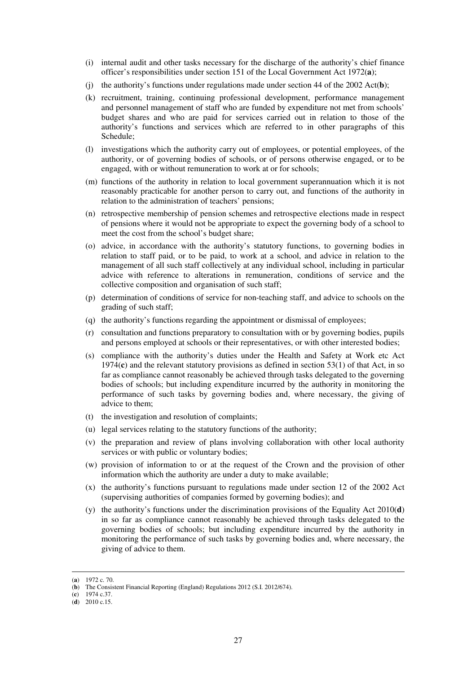- (i) internal audit and other tasks necessary for the discharge of the authority's chief finance officer's responsibilities under section 151 of the Local Government Act 1972(**a**);
- (i) the authority's functions under regulations made under section 44 of the 2002 Act(b);
- (k) recruitment, training, continuing professional development, performance management and personnel management of staff who are funded by expenditure not met from schools' budget shares and who are paid for services carried out in relation to those of the authority's functions and services which are referred to in other paragraphs of this Schedule;
- (l) investigations which the authority carry out of employees, or potential employees, of the authority, or of governing bodies of schools, or of persons otherwise engaged, or to be engaged, with or without remuneration to work at or for schools;
- (m) functions of the authority in relation to local government superannuation which it is not reasonably practicable for another person to carry out, and functions of the authority in relation to the administration of teachers' pensions;
- (n) retrospective membership of pension schemes and retrospective elections made in respect of pensions where it would not be appropriate to expect the governing body of a school to meet the cost from the school's budget share;
- (o) advice, in accordance with the authority's statutory functions, to governing bodies in relation to staff paid, or to be paid, to work at a school, and advice in relation to the management of all such staff collectively at any individual school, including in particular advice with reference to alterations in remuneration, conditions of service and the collective composition and organisation of such staff;
- (p) determination of conditions of service for non-teaching staff, and advice to schools on the grading of such staff;
- (q) the authority's functions regarding the appointment or dismissal of employees;
- (r) consultation and functions preparatory to consultation with or by governing bodies, pupils and persons employed at schools or their representatives, or with other interested bodies;
- (s) compliance with the authority's duties under the Health and Safety at Work etc Act 1974(**c**) and the relevant statutory provisions as defined in section 53(1) of that Act, in so far as compliance cannot reasonably be achieved through tasks delegated to the governing bodies of schools; but including expenditure incurred by the authority in monitoring the performance of such tasks by governing bodies and, where necessary, the giving of advice to them;
- (t) the investigation and resolution of complaints;
- (u) legal services relating to the statutory functions of the authority;
- (v) the preparation and review of plans involving collaboration with other local authority services or with public or voluntary bodies;
- (w) provision of information to or at the request of the Crown and the provision of other information which the authority are under a duty to make available;
- (x) the authority's functions pursuant to regulations made under section 12 of the 2002 Act (supervising authorities of companies formed by governing bodies); and
- (y) the authority's functions under the discrimination provisions of the Equality Act 2010(**d**) in so far as compliance cannot reasonably be achieved through tasks delegated to the governing bodies of schools; but including expenditure incurred by the authority in monitoring the performance of such tasks by governing bodies and, where necessary, the giving of advice to them.

<sup>(</sup>**a**) 1972 c. 70.

<sup>(</sup>**b**) The Consistent Financial Reporting (England) Regulations 2012 (S.I. 2012/674).

<sup>(</sup>**c**) 1974 c.37.

<sup>(</sup>**d**) 2010 c.15.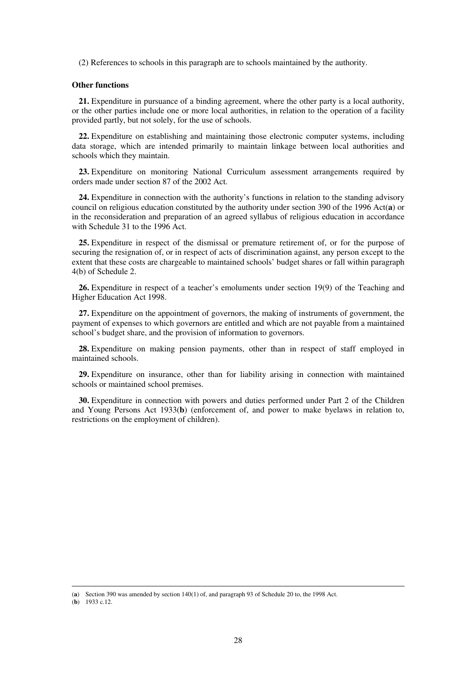(2) References to schools in this paragraph are to schools maintained by the authority.

### **Other functions**

**21.** Expenditure in pursuance of a binding agreement, where the other party is a local authority, or the other parties include one or more local authorities, in relation to the operation of a facility provided partly, but not solely, for the use of schools.

**22.** Expenditure on establishing and maintaining those electronic computer systems, including data storage, which are intended primarily to maintain linkage between local authorities and schools which they maintain.

**23.** Expenditure on monitoring National Curriculum assessment arrangements required by orders made under section 87 of the 2002 Act.

**24.** Expenditure in connection with the authority's functions in relation to the standing advisory council on religious education constituted by the authority under section 390 of the 1996 Act(**a**) or in the reconsideration and preparation of an agreed syllabus of religious education in accordance with Schedule 31 to the 1996 Act.

**25.** Expenditure in respect of the dismissal or premature retirement of, or for the purpose of securing the resignation of, or in respect of acts of discrimination against, any person except to the extent that these costs are chargeable to maintained schools' budget shares or fall within paragraph 4(b) of Schedule 2.

**26.** Expenditure in respect of a teacher's emoluments under section 19(9) of the Teaching and Higher Education Act 1998.

**27.** Expenditure on the appointment of governors, the making of instruments of government, the payment of expenses to which governors are entitled and which are not payable from a maintained school's budget share, and the provision of information to governors.

**28.** Expenditure on making pension payments, other than in respect of staff employed in maintained schools.

**29.** Expenditure on insurance, other than for liability arising in connection with maintained schools or maintained school premises.

**30.** Expenditure in connection with powers and duties performed under Part 2 of the Children and Young Persons Act 1933(**b**) (enforcement of, and power to make byelaws in relation to, restrictions on the employment of children).

<sup>(</sup>**a**) Section 390 was amended by section 140(1) of, and paragraph 93 of Schedule 20 to, the 1998 Act.

<sup>(</sup>**b**) 1933 c.12.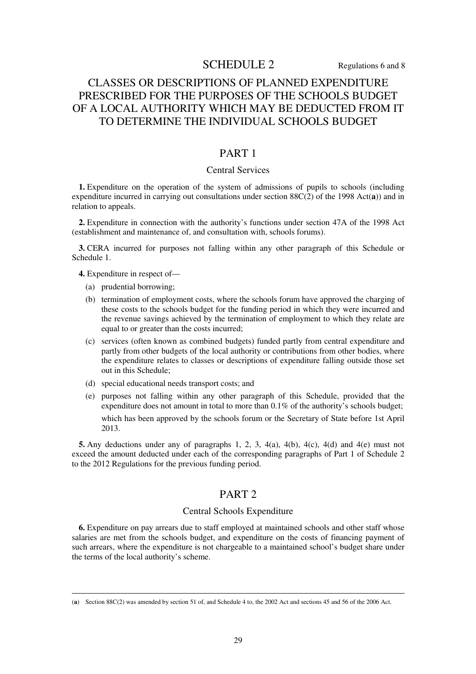# SCHEDULE 2 Regulations 6 and 8

# CLASSES OR DESCRIPTIONS OF PLANNED EXPENDITURE PRESCRIBED FOR THE PURPOSES OF THE SCHOOLS BUDGET OF A LOCAL AUTHORITY WHICH MAY BE DEDUCTED FROM IT TO DETERMINE THE INDIVIDUAL SCHOOLS BUDGET

## PART 1

## Central Services

**1.** Expenditure on the operation of the system of admissions of pupils to schools (including expenditure incurred in carrying out consultations under section 88C(2) of the 1998 Act(**a**)) and in relation to appeals.

**2.** Expenditure in connection with the authority's functions under section 47A of the 1998 Act (establishment and maintenance of, and consultation with, schools forums).

**3.** CERA incurred for purposes not falling within any other paragraph of this Schedule or Schedule 1.

**4.** Expenditure in respect of—

(a) prudential borrowing;

<u>.</u>

- (b) termination of employment costs, where the schools forum have approved the charging of these costs to the schools budget for the funding period in which they were incurred and the revenue savings achieved by the termination of employment to which they relate are equal to or greater than the costs incurred;
- (c) services (often known as combined budgets) funded partly from central expenditure and partly from other budgets of the local authority or contributions from other bodies, where the expenditure relates to classes or descriptions of expenditure falling outside those set out in this Schedule;
- (d) special educational needs transport costs; and
- (e) purposes not falling within any other paragraph of this Schedule, provided that the expenditure does not amount in total to more than 0.1% of the authority's schools budget; which has been approved by the schools forum or the Secretary of State before 1st April 2013.

**5.** Any deductions under any of paragraphs 1, 2, 3, 4(a), 4(b), 4(c), 4(d) and 4(e) must not exceed the amount deducted under each of the corresponding paragraphs of Part 1 of Schedule 2 to the 2012 Regulations for the previous funding period.

## PART 2

### Central Schools Expenditure

**6.** Expenditure on pay arrears due to staff employed at maintained schools and other staff whose salaries are met from the schools budget, and expenditure on the costs of financing payment of such arrears, where the expenditure is not chargeable to a maintained school's budget share under the terms of the local authority's scheme.

<sup>(</sup>**a**) Section 88C(2) was amended by section 51 of, and Schedule 4 to, the 2002 Act and sections 45 and 56 of the 2006 Act.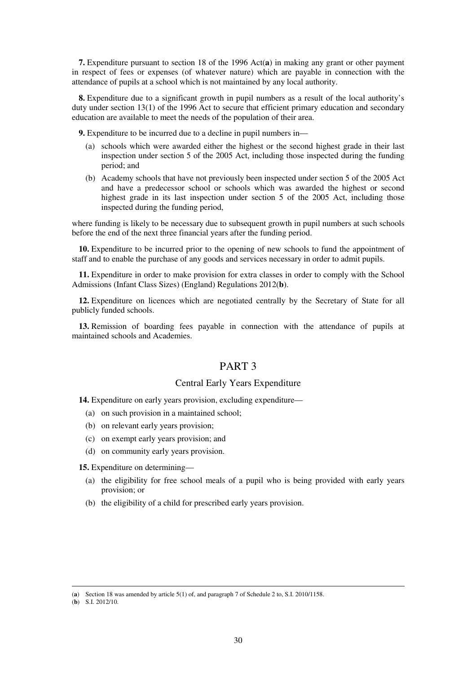**7.** Expenditure pursuant to section 18 of the 1996 Act(**a**) in making any grant or other payment in respect of fees or expenses (of whatever nature) which are payable in connection with the attendance of pupils at a school which is not maintained by any local authority.

**8.** Expenditure due to a significant growth in pupil numbers as a result of the local authority's duty under section 13(1) of the 1996 Act to secure that efficient primary education and secondary education are available to meet the needs of the population of their area.

**9.** Expenditure to be incurred due to a decline in pupil numbers in—

- (a) schools which were awarded either the highest or the second highest grade in their last inspection under section 5 of the 2005 Act, including those inspected during the funding period; and
- (b) Academy schools that have not previously been inspected under section 5 of the 2005 Act and have a predecessor school or schools which was awarded the highest or second highest grade in its last inspection under section 5 of the 2005 Act, including those inspected during the funding period,

where funding is likely to be necessary due to subsequent growth in pupil numbers at such schools before the end of the next three financial years after the funding period.

**10.** Expenditure to be incurred prior to the opening of new schools to fund the appointment of staff and to enable the purchase of any goods and services necessary in order to admit pupils.

**11.** Expenditure in order to make provision for extra classes in order to comply with the School Admissions (Infant Class Sizes) (England) Regulations 2012(**b**).

**12.** Expenditure on licences which are negotiated centrally by the Secretary of State for all publicly funded schools.

**13.** Remission of boarding fees payable in connection with the attendance of pupils at maintained schools and Academies.

# PART 3

## Central Early Years Expenditure

**14.** Expenditure on early years provision, excluding expenditure—

- (a) on such provision in a maintained school;
- (b) on relevant early years provision;
- (c) on exempt early years provision; and
- (d) on community early years provision.

**15.** Expenditure on determining—

- (a) the eligibility for free school meals of a pupil who is being provided with early years provision; or
- (b) the eligibility of a child for prescribed early years provision.

<sup>(</sup>**a**) Section 18 was amended by article 5(1) of, and paragraph 7 of Schedule 2 to, S.I. 2010/1158.

<sup>(</sup>**b**) S.I. 2012/10.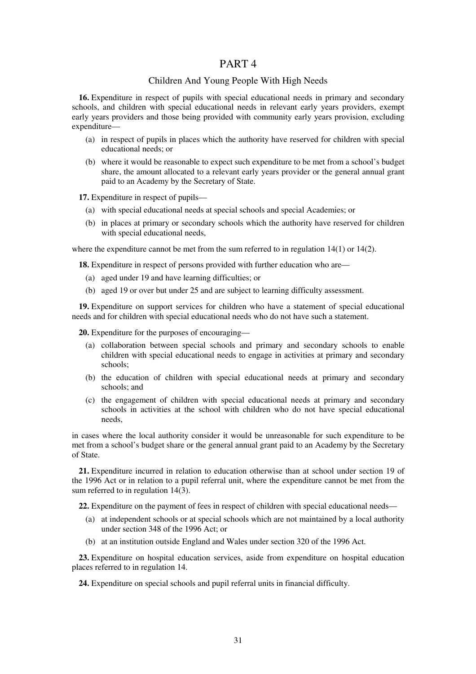## PART 4

## Children And Young People With High Needs

**16.** Expenditure in respect of pupils with special educational needs in primary and secondary schools, and children with special educational needs in relevant early years providers, exempt early years providers and those being provided with community early years provision, excluding expenditure—

- (a) in respect of pupils in places which the authority have reserved for children with special educational needs; or
- (b) where it would be reasonable to expect such expenditure to be met from a school's budget share, the amount allocated to a relevant early years provider or the general annual grant paid to an Academy by the Secretary of State.

**17.** Expenditure in respect of pupils—

- (a) with special educational needs at special schools and special Academies; or
- (b) in places at primary or secondary schools which the authority have reserved for children with special educational needs.

where the expenditure cannot be met from the sum referred to in regulation 14(1) or 14(2).

**18.** Expenditure in respect of persons provided with further education who are—

- (a) aged under 19 and have learning difficulties; or
- (b) aged 19 or over but under 25 and are subject to learning difficulty assessment.

**19.** Expenditure on support services for children who have a statement of special educational needs and for children with special educational needs who do not have such a statement.

**20.** Expenditure for the purposes of encouraging—

- (a) collaboration between special schools and primary and secondary schools to enable children with special educational needs to engage in activities at primary and secondary schools;
- (b) the education of children with special educational needs at primary and secondary schools; and
- (c) the engagement of children with special educational needs at primary and secondary schools in activities at the school with children who do not have special educational needs,

in cases where the local authority consider it would be unreasonable for such expenditure to be met from a school's budget share or the general annual grant paid to an Academy by the Secretary of State.

**21.** Expenditure incurred in relation to education otherwise than at school under section 19 of the 1996 Act or in relation to a pupil referral unit, where the expenditure cannot be met from the sum referred to in regulation 14(3).

**22.** Expenditure on the payment of fees in respect of children with special educational needs—

- (a) at independent schools or at special schools which are not maintained by a local authority under section 348 of the 1996 Act; or
- (b) at an institution outside England and Wales under section 320 of the 1996 Act.

**23.** Expenditure on hospital education services, aside from expenditure on hospital education places referred to in regulation 14.

**24.** Expenditure on special schools and pupil referral units in financial difficulty.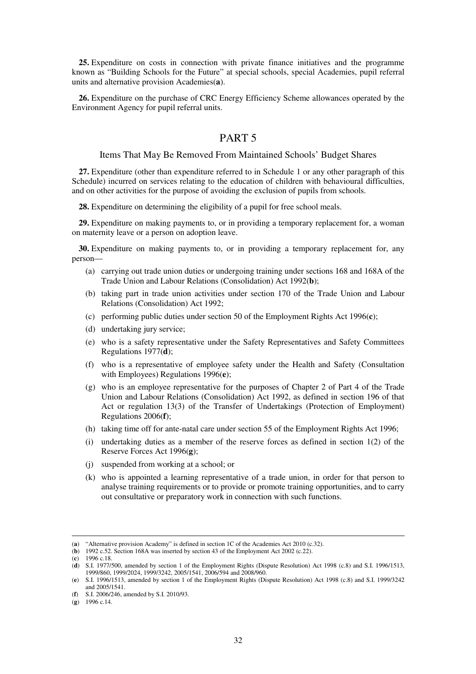**25.** Expenditure on costs in connection with private finance initiatives and the programme known as "Building Schools for the Future" at special schools, special Academies, pupil referral units and alternative provision Academies(**a**).

**26.** Expenditure on the purchase of CRC Energy Efficiency Scheme allowances operated by the Environment Agency for pupil referral units.

## PART 5

## Items That May Be Removed From Maintained Schools' Budget Shares

**27.** Expenditure (other than expenditure referred to in Schedule 1 or any other paragraph of this Schedule) incurred on services relating to the education of children with behavioural difficulties, and on other activities for the purpose of avoiding the exclusion of pupils from schools.

**28.** Expenditure on determining the eligibility of a pupil for free school meals.

**29.** Expenditure on making payments to, or in providing a temporary replacement for, a woman on maternity leave or a person on adoption leave.

**30.** Expenditure on making payments to, or in providing a temporary replacement for, any person—

- (a) carrying out trade union duties or undergoing training under sections 168 and 168A of the Trade Union and Labour Relations (Consolidation) Act 1992(**b**);
- (b) taking part in trade union activities under section 170 of the Trade Union and Labour Relations (Consolidation) Act 1992;
- (c) performing public duties under section 50 of the Employment Rights Act 1996(**c**);
- (d) undertaking jury service;
- (e) who is a safety representative under the Safety Representatives and Safety Committees Regulations 1977(**d**);
- (f) who is a representative of employee safety under the Health and Safety (Consultation with Employees) Regulations 1996(**e**);
- (g) who is an employee representative for the purposes of Chapter 2 of Part 4 of the Trade Union and Labour Relations (Consolidation) Act 1992, as defined in section 196 of that Act or regulation 13(3) of the Transfer of Undertakings (Protection of Employment) Regulations 2006(**f**);
- (h) taking time off for ante-natal care under section 55 of the Employment Rights Act 1996;
- (i) undertaking duties as a member of the reserve forces as defined in section 1(2) of the Reserve Forces Act 1996(**g**);
- (j) suspended from working at a school; or
- (k) who is appointed a learning representative of a trade union, in order for that person to analyse training requirements or to provide or promote training opportunities, and to carry out consultative or preparatory work in connection with such functions.

<sup>(</sup>**a**) "Alternative provision Academy" is defined in section 1C of the Academies Act 2010 (c.32).

<sup>(</sup>**b**) 1992 c.52. Section 168A was inserted by section 43 of the Employment Act 2002 (c.22).

<sup>(</sup>**c**) 1996 c.18.

<sup>(</sup>**d**) S.I. 1977/500, amended by section 1 of the Employment Rights (Dispute Resolution) Act 1998 (c.8) and S.I. 1996/1513, 1999/860, 1999/2024, 1999/3242, 2005/1541, 2006/594 and 2008/960.

<sup>(</sup>**e**) S.I. 1996/1513, amended by section 1 of the Employment Rights (Dispute Resolution) Act 1998 (c.8) and S.I. 1999/3242 and 2005/1541.

<sup>(</sup>**f**) S.I. 2006/246, amended by S.I. 2010/93.

<sup>(</sup>**g**) 1996 c.14.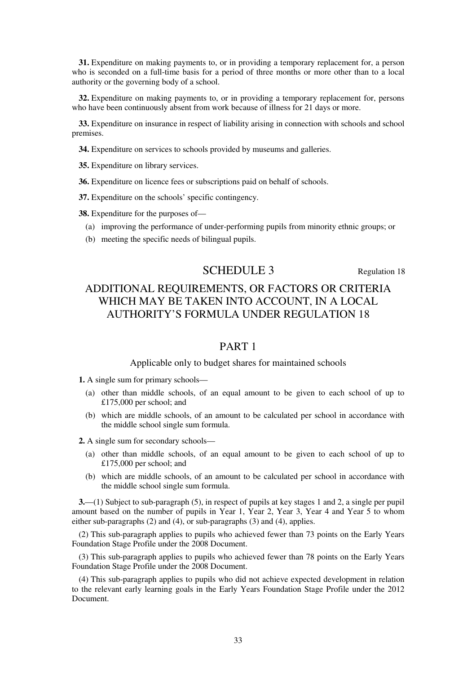**31.** Expenditure on making payments to, or in providing a temporary replacement for, a person who is seconded on a full-time basis for a period of three months or more other than to a local authority or the governing body of a school.

**32.** Expenditure on making payments to, or in providing a temporary replacement for, persons who have been continuously absent from work because of illness for 21 days or more.

**33.** Expenditure on insurance in respect of liability arising in connection with schools and school premises.

**34.** Expenditure on services to schools provided by museums and galleries.

**35.** Expenditure on library services.

**36.** Expenditure on licence fees or subscriptions paid on behalf of schools.

**37.** Expenditure on the schools' specific contingency.

**38.** Expenditure for the purposes of—

- (a) improving the performance of under-performing pupils from minority ethnic groups; or
- (b) meeting the specific needs of bilingual pupils.

# SCHEDULE 3 Regulation 18

# ADDITIONAL REQUIREMENTS, OR FACTORS OR CRITERIA WHICH MAY BE TAKEN INTO ACCOUNT, IN A LOCAL AUTHORITY'S FORMULA UNDER REGULATION 18

# PART 1

## Applicable only to budget shares for maintained schools

**1.** A single sum for primary schools—

- (a) other than middle schools, of an equal amount to be given to each school of up to £175,000 per school; and
- (b) which are middle schools, of an amount to be calculated per school in accordance with the middle school single sum formula.

**2.** A single sum for secondary schools—

- (a) other than middle schools, of an equal amount to be given to each school of up to £175,000 per school; and
- (b) which are middle schools, of an amount to be calculated per school in accordance with the middle school single sum formula.

**3.**—(1) Subject to sub-paragraph (5), in respect of pupils at key stages 1 and 2, a single per pupil amount based on the number of pupils in Year 1, Year 2, Year 3, Year 4 and Year 5 to whom either sub-paragraphs (2) and (4), or sub-paragraphs (3) and (4), applies.

(2) This sub-paragraph applies to pupils who achieved fewer than 73 points on the Early Years Foundation Stage Profile under the 2008 Document.

(3) This sub-paragraph applies to pupils who achieved fewer than 78 points on the Early Years Foundation Stage Profile under the 2008 Document.

(4) This sub-paragraph applies to pupils who did not achieve expected development in relation to the relevant early learning goals in the Early Years Foundation Stage Profile under the 2012 Document.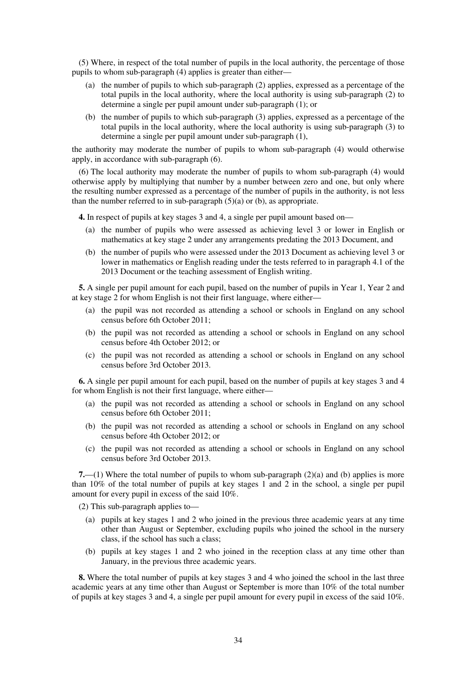(5) Where, in respect of the total number of pupils in the local authority, the percentage of those pupils to whom sub-paragraph (4) applies is greater than either—

- (a) the number of pupils to which sub-paragraph (2) applies, expressed as a percentage of the total pupils in the local authority, where the local authority is using sub-paragraph (2) to determine a single per pupil amount under sub-paragraph (1); or
- (b) the number of pupils to which sub-paragraph (3) applies, expressed as a percentage of the total pupils in the local authority, where the local authority is using sub-paragraph (3) to determine a single per pupil amount under sub-paragraph (1),

the authority may moderate the number of pupils to whom sub-paragraph (4) would otherwise apply, in accordance with sub-paragraph (6).

(6) The local authority may moderate the number of pupils to whom sub-paragraph (4) would otherwise apply by multiplying that number by a number between zero and one, but only where the resulting number expressed as a percentage of the number of pupils in the authority, is not less than the number referred to in sub-paragraph  $(5)(a)$  or (b), as appropriate.

**4.** In respect of pupils at key stages 3 and 4, a single per pupil amount based on—

- (a) the number of pupils who were assessed as achieving level 3 or lower in English or mathematics at key stage 2 under any arrangements predating the 2013 Document, and
- (b) the number of pupils who were assessed under the 2013 Document as achieving level 3 or lower in mathematics or English reading under the tests referred to in paragraph 4.1 of the 2013 Document or the teaching assessment of English writing.

**5.** A single per pupil amount for each pupil, based on the number of pupils in Year 1, Year 2 and at key stage 2 for whom English is not their first language, where either—

- (a) the pupil was not recorded as attending a school or schools in England on any school census before 6th October 2011;
- (b) the pupil was not recorded as attending a school or schools in England on any school census before 4th October 2012; or
- (c) the pupil was not recorded as attending a school or schools in England on any school census before 3rd October 2013.

**6.** A single per pupil amount for each pupil, based on the number of pupils at key stages 3 and 4 for whom English is not their first language, where either—

- (a) the pupil was not recorded as attending a school or schools in England on any school census before 6th October 2011;
- (b) the pupil was not recorded as attending a school or schools in England on any school census before 4th October 2012; or
- (c) the pupil was not recorded as attending a school or schools in England on any school census before 3rd October 2013.

**7.**—(1) Where the total number of pupils to whom sub-paragraph (2)(a) and (b) applies is more than 10% of the total number of pupils at key stages 1 and 2 in the school, a single per pupil amount for every pupil in excess of the said 10%.

(2) This sub-paragraph applies to—

- (a) pupils at key stages 1 and 2 who joined in the previous three academic years at any time other than August or September, excluding pupils who joined the school in the nursery class, if the school has such a class;
- (b) pupils at key stages 1 and 2 who joined in the reception class at any time other than January, in the previous three academic years.

**8.** Where the total number of pupils at key stages 3 and 4 who joined the school in the last three academic years at any time other than August or September is more than 10% of the total number of pupils at key stages 3 and 4, a single per pupil amount for every pupil in excess of the said 10%.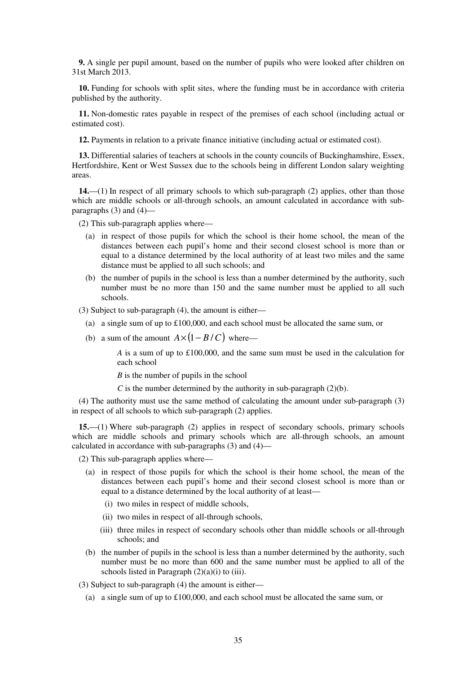**9.** A single per pupil amount, based on the number of pupils who were looked after children on 31st March 2013.

**10.** Funding for schools with split sites, where the funding must be in accordance with criteria published by the authority.

**11.** Non-domestic rates payable in respect of the premises of each school (including actual or estimated cost).

**12.** Payments in relation to a private finance initiative (including actual or estimated cost).

**13.** Differential salaries of teachers at schools in the county councils of Buckinghamshire, Essex, Hertfordshire, Kent or West Sussex due to the schools being in different London salary weighting areas.

**14.**—(1) In respect of all primary schools to which sub-paragraph (2) applies, other than those which are middle schools or all-through schools, an amount calculated in accordance with subparagraphs  $(3)$  and  $(4)$ —

(2) This sub-paragraph applies where—

- (a) in respect of those pupils for which the school is their home school, the mean of the distances between each pupil's home and their second closest school is more than or equal to a distance determined by the local authority of at least two miles and the same distance must be applied to all such schools; and
- (b) the number of pupils in the school is less than a number determined by the authority, such number must be no more than 150 and the same number must be applied to all such schools.

(3) Subject to sub-paragraph (4), the amount is either—

- (a) a single sum of up to  $\text{\pounds}100,000$ , and each school must be allocated the same sum, or
- (b) a sum of the amount  $A \times (1 B/C)$  where—

*A* is a sum of up to £100,000, and the same sum must be used in the calculation for each school

*B* is the number of pupils in the school

*C* is the number determined by the authority in sub-paragraph  $(2)(b)$ .

(4) The authority must use the same method of calculating the amount under sub-paragraph (3) in respect of all schools to which sub-paragraph (2) applies.

**15.**—(1) Where sub-paragraph (2) applies in respect of secondary schools, primary schools which are middle schools and primary schools which are all-through schools, an amount calculated in accordance with sub-paragraphs (3) and (4)—

(2) This sub-paragraph applies where—

- (a) in respect of those pupils for which the school is their home school, the mean of the distances between each pupil's home and their second closest school is more than or equal to a distance determined by the local authority of at least—
	- (i) two miles in respect of middle schools,
	- (ii) two miles in respect of all-through schools,
	- (iii) three miles in respect of secondary schools other than middle schools or all-through schools; and
- (b) the number of pupils in the school is less than a number determined by the authority, such number must be no more than 600 and the same number must be applied to all of the schools listed in Paragraph  $(2)(a)(i)$  to (iii).

(3) Subject to sub-paragraph (4) the amount is either—

(a) a single sum of up to  $\pounds 100,000$ , and each school must be allocated the same sum, or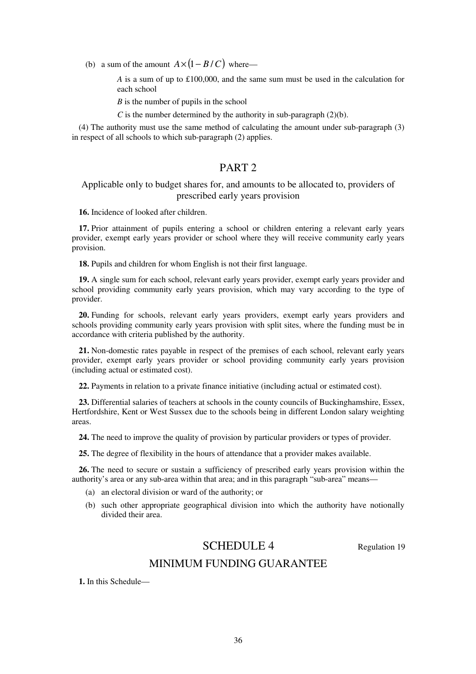(b) a sum of the amount  $A \times (1 - B/C)$  where—

*A* is a sum of up to £100,000, and the same sum must be used in the calculation for each school

*B* is the number of pupils in the school

*C* is the number determined by the authority in sub-paragraph (2)(b).

(4) The authority must use the same method of calculating the amount under sub-paragraph (3) in respect of all schools to which sub-paragraph (2) applies.

# PART 2

## Applicable only to budget shares for, and amounts to be allocated to, providers of prescribed early years provision

**16.** Incidence of looked after children.

**17.** Prior attainment of pupils entering a school or children entering a relevant early years provider, exempt early years provider or school where they will receive community early years provision.

**18.** Pupils and children for whom English is not their first language.

**19.** A single sum for each school, relevant early years provider, exempt early years provider and school providing community early years provision, which may vary according to the type of provider.

**20.** Funding for schools, relevant early years providers, exempt early years providers and schools providing community early years provision with split sites, where the funding must be in accordance with criteria published by the authority.

**21.** Non-domestic rates payable in respect of the premises of each school, relevant early years provider, exempt early years provider or school providing community early years provision (including actual or estimated cost).

**22.** Payments in relation to a private finance initiative (including actual or estimated cost).

**23.** Differential salaries of teachers at schools in the county councils of Buckinghamshire, Essex, Hertfordshire, Kent or West Sussex due to the schools being in different London salary weighting areas.

**24.** The need to improve the quality of provision by particular providers or types of provider.

**25.** The degree of flexibility in the hours of attendance that a provider makes available.

**26.** The need to secure or sustain a sufficiency of prescribed early years provision within the authority's area or any sub-area within that area; and in this paragraph "sub-area" means—

- (a) an electoral division or ward of the authority; or
- (b) such other appropriate geographical division into which the authority have notionally divided their area.

# SCHEDULE 4 Regulation 19

## MINIMUM FUNDING GUARANTEE

**1.** In this Schedule—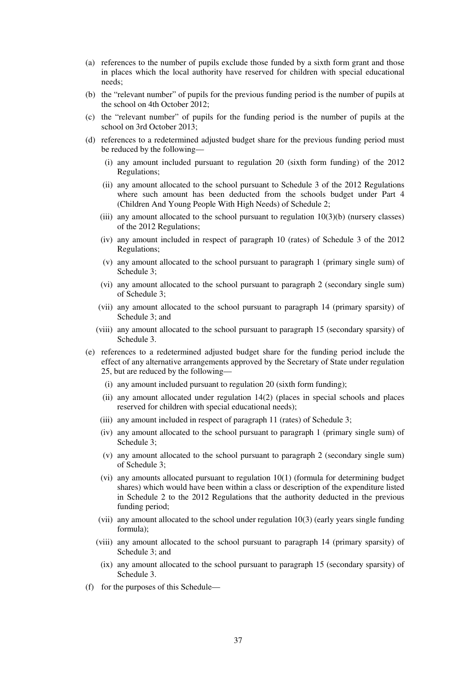- (a) references to the number of pupils exclude those funded by a sixth form grant and those in places which the local authority have reserved for children with special educational needs;
- (b) the "relevant number" of pupils for the previous funding period is the number of pupils at the school on 4th October 2012;
- (c) the "relevant number" of pupils for the funding period is the number of pupils at the school on 3rd October 2013;
- (d) references to a redetermined adjusted budget share for the previous funding period must be reduced by the following—
	- (i) any amount included pursuant to regulation 20 (sixth form funding) of the 2012 Regulations;
	- (ii) any amount allocated to the school pursuant to Schedule 3 of the 2012 Regulations where such amount has been deducted from the schools budget under Part 4 (Children And Young People With High Needs) of Schedule 2;
	- (iii) any amount allocated to the school pursuant to regulation  $10(3)(b)$  (nursery classes) of the 2012 Regulations;
	- (iv) any amount included in respect of paragraph 10 (rates) of Schedule 3 of the 2012 Regulations;
	- (v) any amount allocated to the school pursuant to paragraph 1 (primary single sum) of Schedule 3;
	- (vi) any amount allocated to the school pursuant to paragraph 2 (secondary single sum) of Schedule 3;
	- (vii) any amount allocated to the school pursuant to paragraph 14 (primary sparsity) of Schedule 3; and
	- (viii) any amount allocated to the school pursuant to paragraph 15 (secondary sparsity) of Schedule 3.
- (e) references to a redetermined adjusted budget share for the funding period include the effect of any alternative arrangements approved by the Secretary of State under regulation 25, but are reduced by the following—
	- (i) any amount included pursuant to regulation 20 (sixth form funding);
	- (ii) any amount allocated under regulation 14(2) (places in special schools and places reserved for children with special educational needs);
	- (iii) any amount included in respect of paragraph 11 (rates) of Schedule 3;
	- (iv) any amount allocated to the school pursuant to paragraph 1 (primary single sum) of Schedule 3;
	- (v) any amount allocated to the school pursuant to paragraph 2 (secondary single sum) of Schedule 3;
	- (vi) any amounts allocated pursuant to regulation 10(1) (formula for determining budget shares) which would have been within a class or description of the expenditure listed in Schedule 2 to the 2012 Regulations that the authority deducted in the previous funding period;
	- (vii) any amount allocated to the school under regulation 10(3) (early years single funding formula);
	- (viii) any amount allocated to the school pursuant to paragraph 14 (primary sparsity) of Schedule 3; and
		- (ix) any amount allocated to the school pursuant to paragraph 15 (secondary sparsity) of Schedule 3.
- (f) for the purposes of this Schedule—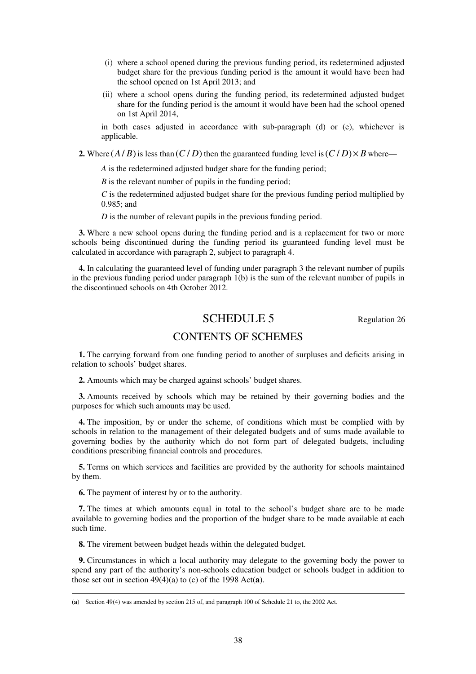- (i) where a school opened during the previous funding period, its redetermined adjusted budget share for the previous funding period is the amount it would have been had the school opened on 1st April 2013; and
- (ii) where a school opens during the funding period, its redetermined adjusted budget share for the funding period is the amount it would have been had the school opened on 1st April 2014,

in both cases adjusted in accordance with sub-paragraph (d) or (e), whichever is applicable.

**2.** Where  $(A/B)$  is less than  $(C/D)$  then the guaranteed funding level is  $(C/D) \times B$  where—

*A* is the redetermined adjusted budget share for the funding period;

*B* is the relevant number of pupils in the funding period;

*C* is the redetermined adjusted budget share for the previous funding period multiplied by 0.985; and

*D* is the number of relevant pupils in the previous funding period.

**3.** Where a new school opens during the funding period and is a replacement for two or more schools being discontinued during the funding period its guaranteed funding level must be calculated in accordance with paragraph 2, subject to paragraph 4.

**4.** In calculating the guaranteed level of funding under paragraph 3 the relevant number of pupils in the previous funding period under paragraph 1(b) is the sum of the relevant number of pupils in the discontinued schools on 4th October 2012.

# SCHEDULE 5 Regulation 26

## CONTENTS OF SCHEMES

**1.** The carrying forward from one funding period to another of surpluses and deficits arising in relation to schools' budget shares.

**2.** Amounts which may be charged against schools' budget shares.

**3.** Amounts received by schools which may be retained by their governing bodies and the purposes for which such amounts may be used.

**4.** The imposition, by or under the scheme, of conditions which must be complied with by schools in relation to the management of their delegated budgets and of sums made available to governing bodies by the authority which do not form part of delegated budgets, including conditions prescribing financial controls and procedures.

**5.** Terms on which services and facilities are provided by the authority for schools maintained by them.

**6.** The payment of interest by or to the authority.

<u>.</u>

**7.** The times at which amounts equal in total to the school's budget share are to be made available to governing bodies and the proportion of the budget share to be made available at each such time.

**8.** The virement between budget heads within the delegated budget.

**9.** Circumstances in which a local authority may delegate to the governing body the power to spend any part of the authority's non-schools education budget or schools budget in addition to those set out in section 49(4)(a) to (c) of the 1998 Act(**a**).

<sup>(</sup>**a**) Section 49(4) was amended by section 215 of, and paragraph 100 of Schedule 21 to, the 2002 Act.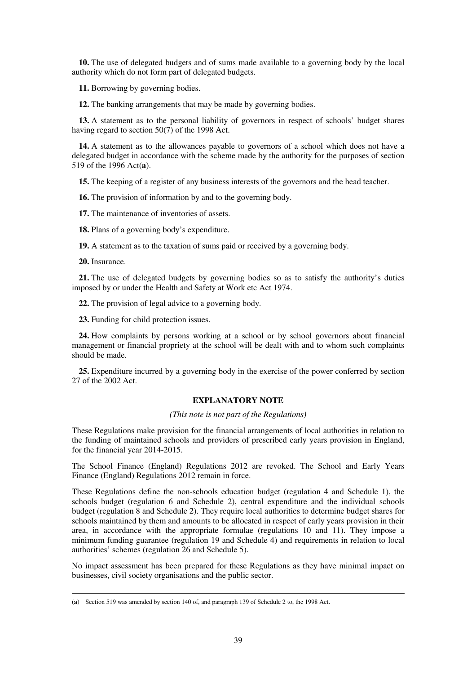**10.** The use of delegated budgets and of sums made available to a governing body by the local authority which do not form part of delegated budgets.

**11.** Borrowing by governing bodies.

**12.** The banking arrangements that may be made by governing bodies.

**13.** A statement as to the personal liability of governors in respect of schools' budget shares having regard to section 50(7) of the 1998 Act.

**14.** A statement as to the allowances payable to governors of a school which does not have a delegated budget in accordance with the scheme made by the authority for the purposes of section 519 of the 1996 Act(**a**).

**15.** The keeping of a register of any business interests of the governors and the head teacher.

**16.** The provision of information by and to the governing body.

**17.** The maintenance of inventories of assets.

**18.** Plans of a governing body's expenditure.

**19.** A statement as to the taxation of sums paid or received by a governing body.

**20.** Insurance.

<u>.</u>

**21.** The use of delegated budgets by governing bodies so as to satisfy the authority's duties imposed by or under the Health and Safety at Work etc Act 1974.

**22.** The provision of legal advice to a governing body.

**23.** Funding for child protection issues.

**24.** How complaints by persons working at a school or by school governors about financial management or financial propriety at the school will be dealt with and to whom such complaints should be made.

**25.** Expenditure incurred by a governing body in the exercise of the power conferred by section 27 of the 2002 Act.

## **EXPLANATORY NOTE**

*(This note is not part of the Regulations)* 

These Regulations make provision for the financial arrangements of local authorities in relation to the funding of maintained schools and providers of prescribed early years provision in England, for the financial year 2014-2015.

The School Finance (England) Regulations 2012 are revoked. The School and Early Years Finance (England) Regulations 2012 remain in force.

These Regulations define the non-schools education budget (regulation 4 and Schedule 1), the schools budget (regulation 6 and Schedule 2), central expenditure and the individual schools budget (regulation 8 and Schedule 2). They require local authorities to determine budget shares for schools maintained by them and amounts to be allocated in respect of early years provision in their area, in accordance with the appropriate formulae (regulations 10 and 11). They impose a minimum funding guarantee (regulation 19 and Schedule 4) and requirements in relation to local authorities' schemes (regulation 26 and Schedule 5).

No impact assessment has been prepared for these Regulations as they have minimal impact on businesses, civil society organisations and the public sector.

<sup>(</sup>**a**) Section 519 was amended by section 140 of, and paragraph 139 of Schedule 2 to, the 1998 Act.